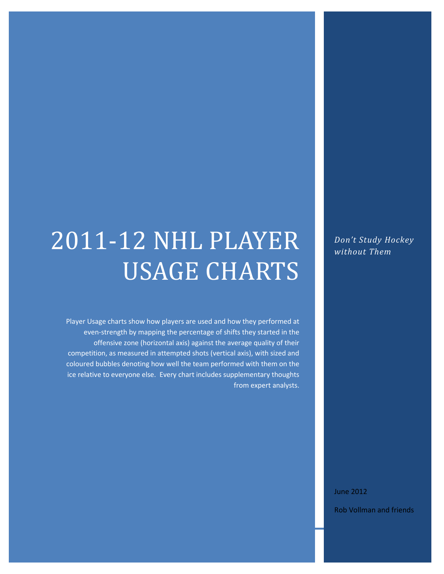# 2011-12 NHL PLAYER USAGE CHARTS

Player Usage charts show how players are used and how they performed at even-strength by mapping the percentage of shifts they started in the offensive zone (horizontal axis) against the average quality of their competition, as measured in attempted shots (vertical axis), with sized and coloured bubbles denoting how well the team performed with them on the ice relative to everyone else. Every chart includes supplementary thoughts from expert analysts.

NHL 2012 - NHL 2012 - NHL 2012 - NHL 2012 - NHL 2012 - NHL 2012 - NHL 2012 - NHL 2012 - NHL 2012 - NHL 2012 -<br>NHL 2012 - NHL 2012 - NHL 2012 - NHL 2012 - NHL 2012 - NHL 2012 - NHL 2012 - NHL 2012 - NHL 2012 - NHL 2012 -

*Don't Study Hockey without Them*

June 2012

Rob Vollman and friends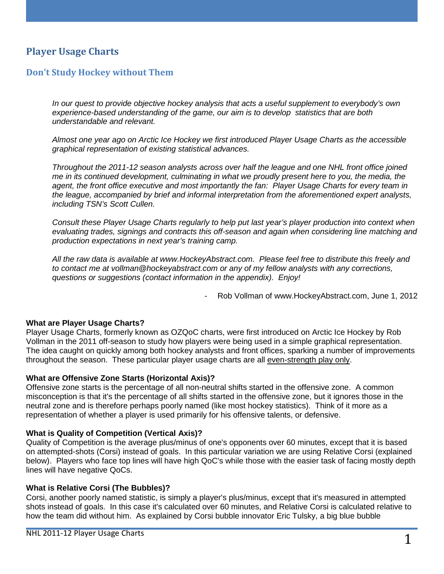## **Player Usage Charts**

#### **Don't Study Hockey without Them**

*In our quest to provide objective hockey analysis that acts a useful supplement to everybody's own experience-based understanding of the game, our aim is to develop statistics that are both understandable and relevant.* 

*Almost one year ago on Arctic Ice Hockey we first introduced Player Usage Charts as the accessible graphical representation of existing statistical advances.* 

*Throughout the 2011-12 season analysts across over half the league and one NHL front office joined me in its continued development, culminating in what we proudly present here to you, the media, the agent, the front office executive and most importantly the fan: Player Usage Charts for every team in the league, accompanied by brief and informal interpretation from the aforementioned expert analysts, including TSN's Scott Cullen.* 

*Consult these Player Usage Charts regularly to help put last year's player production into context when evaluating trades, signings and contracts this off-season and again when considering line matching and production expectations in next year's training camp.* 

*All the raw data is available at www.HockeyAbstract.com. Please feel free to distribute this freely and to contact me at vollman@hockeyabstract.com or any of my fellow analysts with any corrections, questions or suggestions (contact information in the appendix). Enjoy!*

- Rob Vollman of www.HockeyAbstract.com, June 1, 2012

#### **What are Player Usage Charts?**

Player Usage Charts, formerly known as OZQoC charts, were first introduced on Arctic Ice Hockey by Rob Vollman in the 2011 off-season to study how players were being used in a simple graphical representation. The idea caught on quickly among both hockey analysts and front offices, sparking a number of improvements throughout the season. These particular player usage charts are all even-strength play only.

#### **What are Offensive Zone Starts (Horizontal Axis)?**

Offensive zone starts is the percentage of all non-neutral shifts started in the offensive zone. A common misconception is that it's the percentage of all shifts started in the offensive zone, but it ignores those in the neutral zone and is therefore perhaps poorly named (like most hockey statistics). Think of it more as a representation of whether a player is used primarily for his offensive talents, or defensive.

#### **What is Quality of Competition (Vertical Axis)?**

Quality of Competition is the average plus/minus of one's opponents over 60 minutes, except that it is based on attempted-shots (Corsi) instead of goals. In this particular variation we are using Relative Corsi (explained below). Players who face top lines will have high QoC's while those with the easier task of facing mostly depth lines will have negative QoCs.

#### **What is Relative Corsi (The Bubbles)?**

Corsi, another poorly named statistic, is simply a player's plus/minus, except that it's measured in attempted shots instead of goals. In this case it's calculated over 60 minutes, and Relative Corsi is calculated relative to how the team did without him. As explained by Corsi bubble innovator Eric Tulsky, a big blue bubble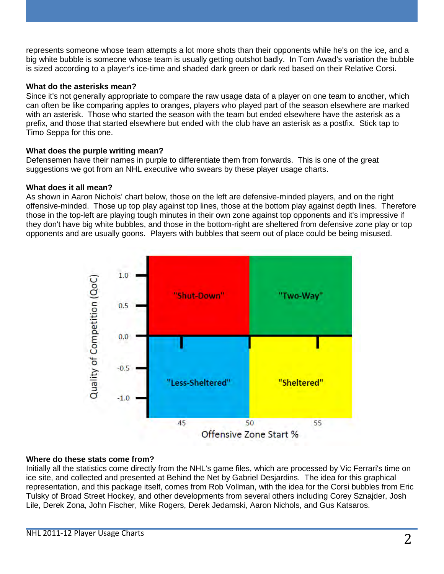represents someone whose team attempts a lot more shots than their opponents while he's on the ice, and a big white bubble is someone whose team is usually getting outshot badly. In Tom Awad's variation the bubble is sized according to a player's ice-time and shaded dark green or dark red based on their Relative Corsi.

#### **What do the asterisks mean?**

Since it's not generally appropriate to compare the raw usage data of a player on one team to another, which can often be like comparing apples to oranges, players who played part of the season elsewhere are marked with an asterisk. Those who started the season with the team but ended elsewhere have the asterisk as a prefix, and those that started elsewhere but ended with the club have an asterisk as a postfix. Stick tap to Timo Seppa for this one.

#### **What does the purple writing mean?**

Defensemen have their names in purple to differentiate them from forwards. This is one of the great suggestions we got from an NHL executive who swears by these player usage charts.

#### **What does it all mean?**

As shown in Aaron Nichols' chart below, those on the left are defensive-minded players, and on the right offensive-minded. Those up top play against top lines, those at the bottom play against depth lines. Therefore those in the top-left are playing tough minutes in their own zone against top opponents and it's impressive if they don't have big white bubbles, and those in the bottom-right are sheltered from defensive zone play or top opponents and are usually goons. Players with bubbles that seem out of place could be being misused.



#### **Where do these stats come from?**

Initially all the statistics come directly from the NHL's game files, which are processed by Vic Ferrari's time on ice site, and collected and presented at Behind the Net by Gabriel Desjardins. The idea for this graphical representation, and this package itself, comes from Rob Vollman, with the idea for the Corsi bubbles from Eric Tulsky of Broad Street Hockey, and other developments from several others including Corey Sznajder, Josh Lile, Derek Zona, John Fischer, Mike Rogers, Derek Jedamski, Aaron Nichols, and Gus Katsaros.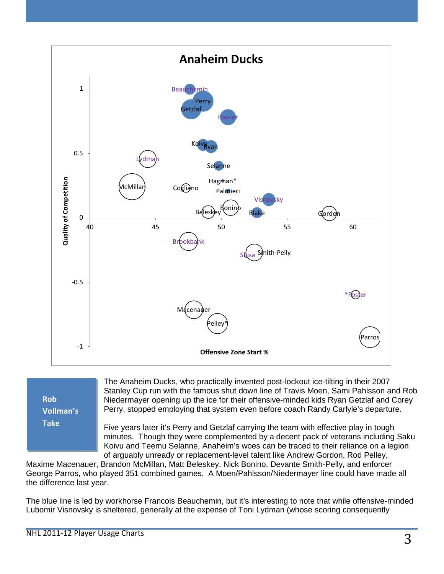

**Rob Vollman's Take**

The Anaheim Ducks, who practically invented post-lockout ice-tilting in their 2007 Stanley Cup run with the famous shut down line of Travis Moen, Sami Pahlsson and Rob Niedermayer opening up the ice for their offensive-minded kids Ryan Getzlaf and Corey Perry, stopped employing that system even before coach Randy Carlyle's departure.

Five years later it's Perry and Getzlaf carrying the team with effective play in tough minutes. Though they were complemented by a decent pack of veterans including Saku Koivu and Teemu Selanne, Anaheim's woes can be traced to their reliance on a legion of arguably unready or replacement-level talent like Andrew Gordon, Rod Pelley,

Maxime Macenauer, Brandon McMillan, Matt Beleskey, Nick Bonino, Devante Smith-Pelly, and enforcer George Parros, who played 351 combined games. A Moen/Pahlsson/Niedermayer line could have made all the difference last year.

The blue line is led by workhorse Francois Beauchemin, but it's interesting to note that while offensive-minded Lubomir Visnovsky is sheltered, generally at the expense of Toni Lydman (whose scoring consequently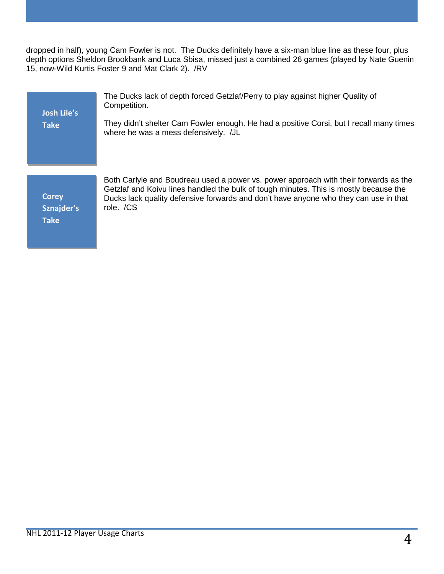dropped in half), young Cam Fowler is not. The Ducks definitely have a six-man blue line as these four, plus depth options Sheldon Brookbank and Luca Sbisa, missed just a combined 26 games (played by Nate Guenin 15, now-Wild Kurtis Foster 9 and Mat Clark 2). /RV

| <b>Josh Lile's</b><br><b>Take</b> | The Ducks lack of depth forced Getzlaf/Perry to play against higher Quality of<br>Competition.<br>They didn't shelter Cam Fowler enough. He had a positive Corsi, but I recall many times<br>where he was a mess defensively. /JL                                     |
|-----------------------------------|-----------------------------------------------------------------------------------------------------------------------------------------------------------------------------------------------------------------------------------------------------------------------|
|                                   |                                                                                                                                                                                                                                                                       |
| <b>Corey</b>                      | Both Carlyle and Boudreau used a power vs. power approach with their forwards as the<br>Getzlaf and Koivu lines handled the bulk of tough minutes. This is mostly because the<br>Ducks lack quality defensive forwards and don't have anyone who they can use in that |

**Sznajder's** 

**Take**

role. /CS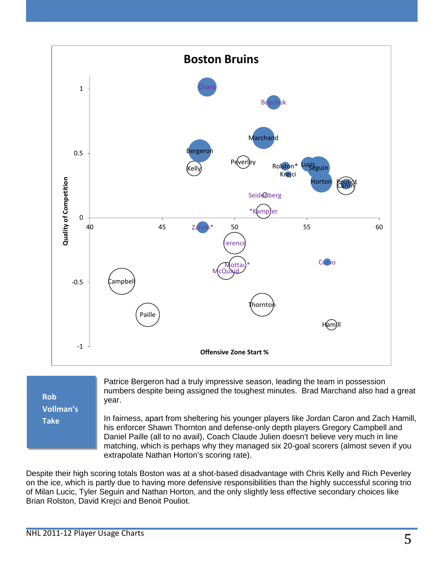

**Rob Vollman's Take**

Patrice Bergeron had a truly impressive season, leading the team in possession numbers despite being assigned the toughest minutes. Brad Marchand also had a great year.

In fairness, apart from sheltering his younger players like Jordan Caron and Zach Hamill, his enforcer Shawn Thornton and defense-only depth players Gregory Campbell and Daniel Paille (all to no avail), Coach Claude Julien doesn't believe very much in line matching, which is perhaps why they managed six 20-goal scorers (almost seven if you extrapolate Nathan Horton's scoring rate).

Despite their high scoring totals Boston was at a shot-based disadvantage with Chris Kelly and Rich Peverley on the ice, which is partly due to having more defensive responsibilities than the highly successful scoring trio of Milan Lucic, Tyler Seguin and Nathan Horton, and the only slightly less effective secondary choices like Brian Rolston, David Krejci and Benoit Pouliot.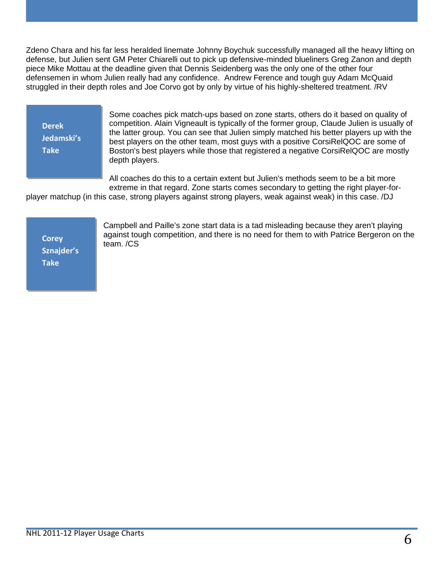Zdeno Chara and his far less heralded linemate Johnny Boychuk successfully managed all the heavy lifting on defense, but Julien sent GM Peter Chiarelli out to pick up defensive-minded blueliners Greg Zanon and depth piece Mike Mottau at the deadline given that Dennis Seidenberg was the only one of the other four defensemen in whom Julien really had any confidence. Andrew Ference and tough guy Adam McQuaid struggled in their depth roles and Joe Corvo got by only by virtue of his highly-sheltered treatment. /RV

**Derek Jedamski's Take**

Some coaches pick match-ups based on zone starts, others do it based on quality of competition. Alain Vigneault is typically of the former group, Claude Julien is usually of the latter group. You can see that Julien simply matched his better players up with the best players on the other team, most guys with a positive CorsiRelQOC are some of Boston's best players while those that registered a negative CorsiRelQOC are mostly depth players.

All coaches do this to a certain extent but Julien's methods seem to be a bit more extreme in that regard. Zone starts comes secondary to getting the right player-for-

player matchup (in this case, strong players against strong players, weak against weak) in this case. /DJ

**Corey Sznajder's Take**

Campbell and Paille's zone start data is a tad misleading because they aren't playing against tough competition, and there is no need for them to with Patrice Bergeron on the team. /CS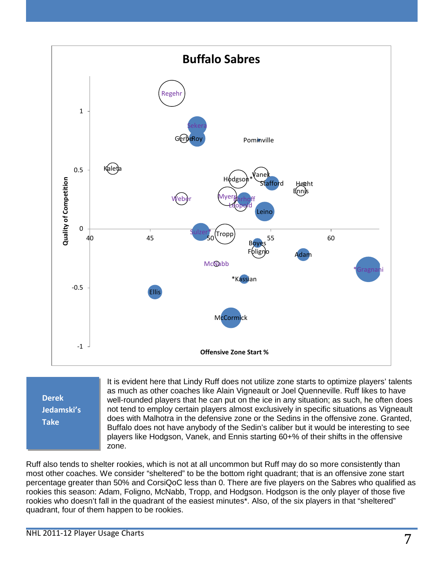

**Derek Jedamski's Take**

It is evident here that Lindy Ruff does not utilize zone starts to optimize players' talents as much as other coaches like Alain Vigneault or Joel Quenneville. Ruff likes to have well-rounded players that he can put on the ice in any situation; as such, he often does not tend to employ certain players almost exclusively in specific situations as Vigneault does with Malhotra in the defensive zone or the Sedins in the offensive zone. Granted, Buffalo does not have anybody of the Sedin's caliber but it would be interesting to see players like Hodgson, Vanek, and Ennis starting 60+% of their shifts in the offensive zone.

Ruff also tends to shelter rookies, which is not at all uncommon but Ruff may do so more consistently than most other coaches. We consider "sheltered" to be the bottom right quadrant; that is an offensive zone start percentage greater than 50% and CorsiQoC less than 0. There are five players on the Sabres who qualified as rookies this season: Adam, Foligno, McNabb, Tropp, and Hodgson. Hodgson is the only player of those five rookies who doesn't fall in the quadrant of the easiest minutes\*. Also, of the six players in that "sheltered" quadrant, four of them happen to be rookies.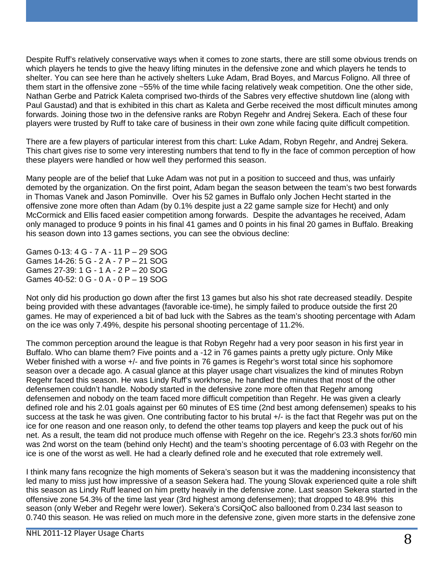Despite Ruff's relatively conservative ways when it comes to zone starts, there are still some obvious trends on which players he tends to give the heavy lifting minutes in the defensive zone and which players he tends to shelter. You can see here than he actively shelters Luke Adam, Brad Boyes, and Marcus Foligno. All three of them start in the offensive zone ~55% of the time while facing relatively weak competition. One the other side, Nathan Gerbe and Patrick Kaleta comprised two-thirds of the Sabres very effective shutdown line (along with Paul Gaustad) and that is exhibited in this chart as Kaleta and Gerbe received the most difficult minutes among forwards. Joining those two in the defensive ranks are Robyn Regehr and Andrej Sekera. Each of these four players were trusted by Ruff to take care of business in their own zone while facing quite difficult competition.

There are a few players of particular interest from this chart: Luke Adam, Robyn Regehr, and Andrej Sekera. This chart gives rise to some very interesting numbers that tend to fly in the face of common perception of how these players were handled or how well they performed this season.

Many people are of the belief that Luke Adam was not put in a position to succeed and thus, was unfairly demoted by the organization. On the first point, Adam began the season between the team's two best forwards in Thomas Vanek and Jason Pominville. Over his 52 games in Buffalo only Jochen Hecht started in the offensive zone more often than Adam (by 0.1% despite just a 22 game sample size for Hecht) and only McCormick and Ellis faced easier competition among forwards. Despite the advantages he received, Adam only managed to produce 9 points in his final 41 games and 0 points in his final 20 games in Buffalo. Breaking his season down into 13 games sections, you can see the obvious decline:

Games 0-13: 4 G - 7 A - 11 P – 29 SOG Games 14-26: 5 G - 2 A - 7 P – 21 SOG Games 27-39: 1 G - 1 A - 2 P – 20 SOG Games 40-52: 0 G - 0 A - 0 P – 19 SOG

Not only did his production go down after the first 13 games but also his shot rate decreased steadily. Despite being provided with these advantages (favorable ice-time), he simply failed to produce outside the first 20 games. He may of experienced a bit of bad luck with the Sabres as the team's shooting percentage with Adam on the ice was only 7.49%, despite his personal shooting percentage of 11.2%.

The common perception around the league is that Robyn Regehr had a very poor season in his first year in Buffalo. Who can blame them? Five points and a -12 in 76 games paints a pretty ugly picture. Only Mike Weber finished with a worse +/- and five points in 76 games is Regehr's worst total since his sophomore season over a decade ago. A casual glance at this player usage chart visualizes the kind of minutes Robyn Regehr faced this season. He was Lindy Ruff's workhorse, he handled the minutes that most of the other defensemen couldn't handle. Nobody started in the defensive zone more often that Regehr among defensemen and nobody on the team faced more difficult competition than Regehr. He was given a clearly defined role and his 2.01 goals against per 60 minutes of ES time (2nd best among defensemen) speaks to his success at the task he was given. One contributing factor to his brutal +/- is the fact that Regehr was put on the ice for one reason and one reason only, to defend the other teams top players and keep the puck out of his net. As a result, the team did not produce much offense with Regehr on the ice. Regehr's 23.3 shots for/60 min was 2nd worst on the team (behind only Hecht) and the team's shooting percentage of 6.03 with Regehr on the ice is one of the worst as well. He had a clearly defined role and he executed that role extremely well.

I think many fans recognize the high moments of Sekera's season but it was the maddening inconsistency that led many to miss just how impressive of a season Sekera had. The young Slovak experienced quite a role shift this season as Lindy Ruff leaned on him pretty heavily in the defensive zone. Last season Sekera started in the offensive zone 54.3% of the time last year (3rd highest among defensemen); that dropped to 48.9% this season (only Weber and Regehr were lower). Sekera's CorsiQoC also ballooned from 0.234 last season to 0.740 this season. He was relied on much more in the defensive zone, given more starts in the defensive zone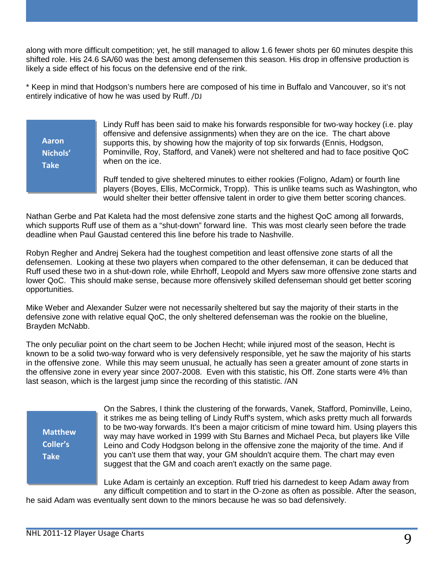along with more difficult competition; yet, he still managed to allow 1.6 fewer shots per 60 minutes despite this shifted role. His 24.6 SA/60 was the best among defensemen this season. His drop in offensive production is likely a side effect of his focus on the defensive end of the rink.

\* Keep in mind that Hodgson's numbers here are composed of his time in Buffalo and Vancouver, so it's not entirely indicative of how he was used by Ruff. /DJ

**Aaron Nichols' Take**

Lindy Ruff has been said to make his forwards responsible for two-way hockey (i.e. play offensive and defensive assignments) when they are on the ice. The chart above supports this, by showing how the majority of top six forwards (Ennis, Hodgson, Pominville, Roy, Stafford, and Vanek) were not sheltered and had to face positive QoC when on the ice.

Ruff tended to give sheltered minutes to either rookies (Foligno, Adam) or fourth line players (Boyes, Ellis, McCormick, Tropp). This is unlike teams such as Washington, who would shelter their better offensive talent in order to give them better scoring chances.

Nathan Gerbe and Pat Kaleta had the most defensive zone starts and the highest QoC among all forwards, which supports Ruff use of them as a "shut-down" forward line. This was most clearly seen before the trade deadline when Paul Gaustad centered this line before his trade to Nashville.

Robyn Regher and Andrej Sekera had the toughest competition and least offensive zone starts of all the defensemen. Looking at these two players when compared to the other defenseman, it can be deduced that Ruff used these two in a shut-down role, while Ehrhoff, Leopold and Myers saw more offensive zone starts and lower QoC. This should make sense, because more offensively skilled defenseman should get better scoring opportunities.

Mike Weber and Alexander Sulzer were not necessarily sheltered but say the majority of their starts in the defensive zone with relative equal QoC, the only sheltered defenseman was the rookie on the blueline, Brayden McNabb.

The only peculiar point on the chart seem to be Jochen Hecht; while injured most of the season, Hecht is known to be a solid two-way forward who is very defensively responsible, yet he saw the majority of his starts in the offensive zone. While this may seem unusual, he actually has seen a greater amount of zone starts in the offensive zone in every year since 2007-2008. Even with this statistic, his Off. Zone starts were 4% than last season, which is the largest jump since the recording of this statistic. /AN

**Matthew Coller's Take**

On the Sabres, I think the clustering of the forwards, Vanek, Stafford, Pominville, Leino, it strikes me as being telling of Lindy Ruff's system, which asks pretty much all forwards to be two-way forwards. It's been a major criticism of mine toward him. Using players this way may have worked in 1999 with Stu Barnes and Michael Peca, but players like Ville Leino and Cody Hodgson belong in the offensive zone the majority of the time. And if you can't use them that way, your GM shouldn't acquire them. The chart may even suggest that the GM and coach aren't exactly on the same page.

Luke Adam is certainly an exception. Ruff tried his darnedest to keep Adam away from any difficult competition and to start in the O-zone as often as possible. After the season,

he said Adam was eventually sent down to the minors because he was so bad defensively.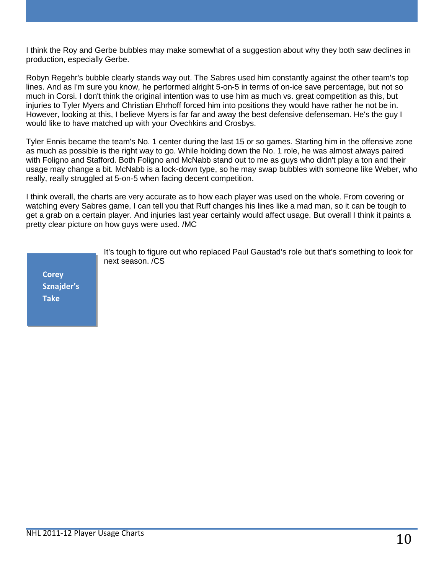I think the Roy and Gerbe bubbles may make somewhat of a suggestion about why they both saw declines in production, especially Gerbe.

Robyn Regehr's bubble clearly stands way out. The Sabres used him constantly against the other team's top lines. And as I'm sure you know, he performed alright 5-on-5 in terms of on-ice save percentage, but not so much in Corsi. I don't think the original intention was to use him as much vs. great competition as this, but injuries to Tyler Myers and Christian Ehrhoff forced him into positions they would have rather he not be in. However, looking at this, I believe Myers is far far and away the best defensive defenseman. He's the guy I would like to have matched up with your Ovechkins and Crosbys.

Tyler Ennis became the team's No. 1 center during the last 15 or so games. Starting him in the offensive zone as much as possible is the right way to go. While holding down the No. 1 role, he was almost always paired with Foligno and Stafford. Both Foligno and McNabb stand out to me as guys who didn't play a ton and their usage may change a bit. McNabb is a lock-down type, so he may swap bubbles with someone like Weber, who really, really struggled at 5-on-5 when facing decent competition.

I think overall, the charts are very accurate as to how each player was used on the whole. From covering or watching every Sabres game, I can tell you that Ruff changes his lines like a mad man, so it can be tough to get a grab on a certain player. And injuries last year certainly would affect usage. But overall I think it paints a pretty clear picture on how guys were used. /MC

**Corey Sznajder's Take**

It's tough to figure out who replaced Paul Gaustad's role but that's something to look for next season. /CS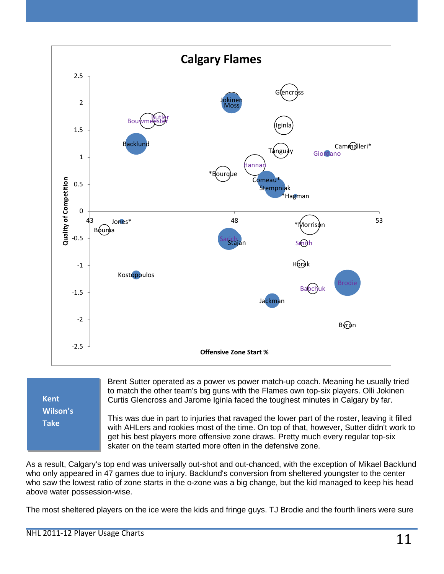

| Kent     |
|----------|
| Wilson's |
| Take     |
|          |

Brent Sutter operated as a power vs power match-up coach. Meaning he usually tried to match the other team's big guns with the Flames own top-six players. Olli Jokinen Curtis Glencross and Jarome Iginla faced the toughest minutes in Calgary by far.

This was due in part to injuries that ravaged the lower part of the roster, leaving it filled with AHLers and rookies most of the time. On top of that, however, Sutter didn't work to get his best players more offensive zone draws. Pretty much every regular top-six skater on the team started more often in the defensive zone.

As a result, Calgary's top end was universally out-shot and out-chanced, with the exception of Mikael Backlund who only appeared in 47 games due to injury. Backlund's conversion from sheltered youngster to the center who saw the lowest ratio of zone starts in the o-zone was a big change, but the kid managed to keep his head above water possession-wise.

The most sheltered players on the ice were the kids and fringe guys. TJ Brodie and the fourth liners were sure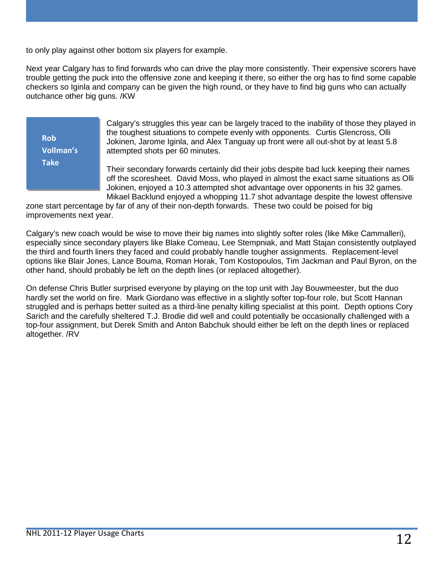to only play against other bottom six players for example.

Next year Calgary has to find forwards who can drive the play more consistently. Their expensive scorers have trouble getting the puck into the offensive zone and keeping it there, so either the org has to find some capable checkers so Iginla and company can be given the high round, or they have to find big guns who can actually outchance other big guns. /KW

**Rob Vollman's Take**

Calgary's struggles this year can be largely traced to the inability of those they played in the toughest situations to compete evenly with opponents. Curtis Glencross, Olli Jokinen, Jarome Iginla, and Alex Tanguay up front were all out-shot by at least 5.8 attempted shots per 60 minutes.

Their secondary forwards certainly did their jobs despite bad luck keeping their names off the scoresheet. David Moss, who played in almost the exact same situations as Olli Jokinen, enjoyed a 10.3 attempted shot advantage over opponents in his 32 games. Mikael Backlund enjoyed a whopping 11.7 shot advantage despite the lowest offensive

zone start percentage by far of any of their non-depth forwards. These two could be poised for big improvements next year.

Calgary's new coach would be wise to move their big names into slightly softer roles (like Mike Cammalleri), especially since secondary players like Blake Comeau, Lee Stempniak, and Matt Stajan consistently outplayed the third and fourth liners they faced and could probably handle tougher assignments. Replacement-level options like Blair Jones, Lance Bouma, Roman Horak, Tom Kostopoulos, Tim Jackman and Paul Byron, on the other hand, should probably be left on the depth lines (or replaced altogether).

On defense Chris Butler surprised everyone by playing on the top unit with Jay Bouwmeester, but the duo hardly set the world on fire. Mark Giordano was effective in a slightly softer top-four role, but Scott Hannan struggled and is perhaps better suited as a third-line penalty killing specialist at this point. Depth options Cory Sarich and the carefully sheltered T.J. Brodie did well and could potentially be occasionally challenged with a top-four assignment, but Derek Smith and Anton Babchuk should either be left on the depth lines or replaced altogether. /RV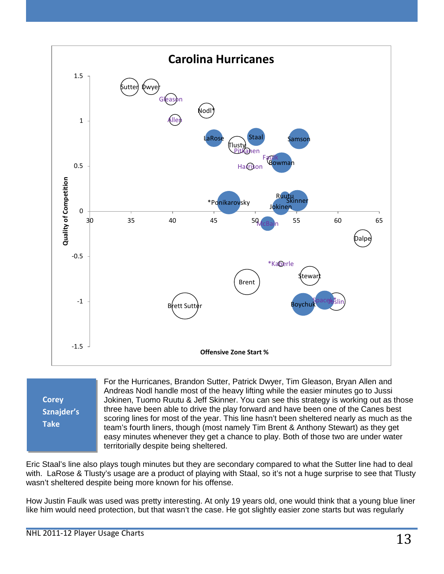

**Corey Sznajder's Take**

For the Hurricanes, Brandon Sutter, Patrick Dwyer, Tim Gleason, Bryan Allen and Andreas Nodl handle most of the heavy lifting while the easier minutes go to Jussi Jokinen, Tuomo Ruutu & Jeff Skinner. You can see this strategy is working out as those three have been able to drive the play forward and have been one of the Canes best scoring lines for most of the year. This line hasn't been sheltered nearly as much as the team's fourth liners, though (most namely Tim Brent & Anthony Stewart) as they get easy minutes whenever they get a chance to play. Both of those two are under water territorially despite being sheltered.

Eric Staal's line also plays tough minutes but they are secondary compared to what the Sutter line had to deal with. LaRose & Tlusty's usage are a product of playing with Staal, so it's not a huge surprise to see that Tlusty wasn't sheltered despite being more known for his offense.

How Justin Faulk was used was pretty interesting. At only 19 years old, one would think that a young blue liner like him would need protection, but that wasn't the case. He got slightly easier zone starts but was regularly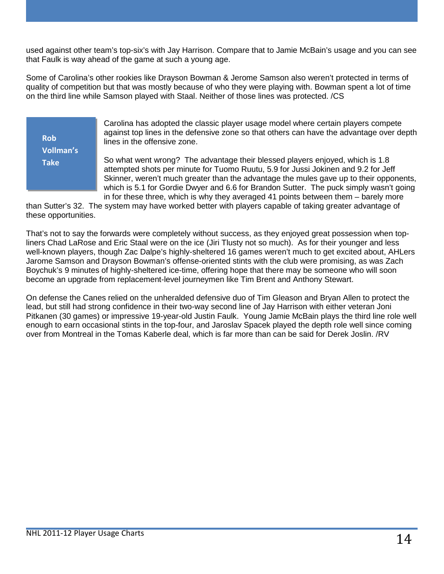used against other team's top-six's with Jay Harrison. Compare that to Jamie McBain's usage and you can see that Faulk is way ahead of the game at such a young age.

Some of Carolina's other rookies like Drayson Bowman & Jerome Samson also weren't protected in terms of quality of competition but that was mostly because of who they were playing with. Bowman spent a lot of time on the third line while Samson played with Staal. Neither of those lines was protected. /CS

**Rob Vollman's Take**

Carolina has adopted the classic player usage model where certain players compete against top lines in the defensive zone so that others can have the advantage over depth lines in the offensive zone.

So what went wrong? The advantage their blessed players enjoyed, which is 1.8 attempted shots per minute for Tuomo Ruutu, 5.9 for Jussi Jokinen and 9.2 for Jeff Skinner, weren't much greater than the advantage the mules gave up to their opponents, which is 5.1 for Gordie Dwyer and 6.6 for Brandon Sutter. The puck simply wasn't going in for these three, which is why they averaged 41 points between them – barely more

than Sutter's 32. The system may have worked better with players capable of taking greater advantage of these opportunities.

That's not to say the forwards were completely without success, as they enjoyed great possession when topliners Chad LaRose and Eric Staal were on the ice (Jiri Tlusty not so much). As for their younger and less well-known players, though Zac Dalpe's highly-sheltered 16 games weren't much to get excited about, AHLers Jarome Samson and Drayson Bowman's offense-oriented stints with the club were promising, as was Zach Boychuk's 9 minutes of highly-sheltered ice-time, offering hope that there may be someone who will soon become an upgrade from replacement-level journeymen like Tim Brent and Anthony Stewart.

On defense the Canes relied on the unheralded defensive duo of Tim Gleason and Bryan Allen to protect the lead, but still had strong confidence in their two-way second line of Jay Harrison with either veteran Joni Pitkanen (30 games) or impressive 19-year-old Justin Faulk. Young Jamie McBain plays the third line role well enough to earn occasional stints in the top-four, and Jaroslav Spacek played the depth role well since coming over from Montreal in the Tomas Kaberle deal, which is far more than can be said for Derek Joslin. /RV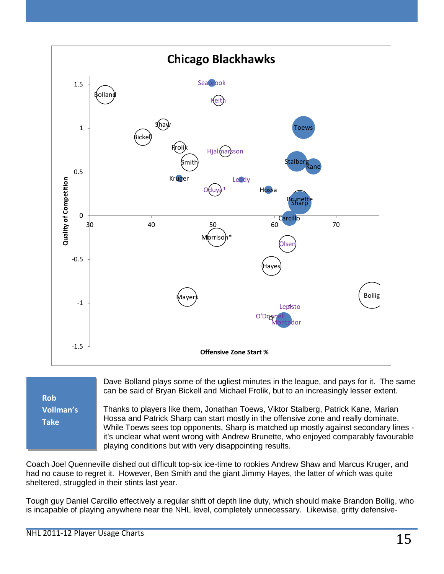



Dave Bolland plays some of the ugliest minutes in the league, and pays for it. The same can be said of Bryan Bickell and Michael Frolik, but to an increasingly lesser extent.

Thanks to players like them, Jonathan Toews, Viktor Stalberg, Patrick Kane, Marian Hossa and Patrick Sharp can start mostly in the offensive zone and really dominate. While Toews sees top opponents, Sharp is matched up mostly against secondary lines it's unclear what went wrong with Andrew Brunette, who enjoyed comparably favourable playing conditions but with very disappointing results.

Coach Joel Quenneville dished out difficult top-six ice-time to rookies Andrew Shaw and Marcus Kruger, and had no cause to regret it. However, Ben Smith and the giant Jimmy Hayes, the latter of which was quite sheltered, struggled in their stints last year.

Tough guy Daniel Carcillo effectively a regular shift of depth line duty, which should make Brandon Bollig, who is incapable of playing anywhere near the NHL level, completely unnecessary. Likewise, gritty defensive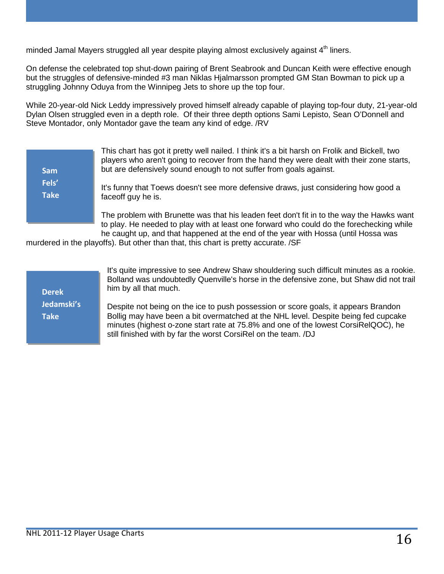minded Jamal Mayers struggled all year despite playing almost exclusively against  $4<sup>th</sup>$  liners.

On defense the celebrated top shut-down pairing of Brent Seabrook and Duncan Keith were effective enough but the struggles of defensive-minded #3 man Niklas Hjalmarsson prompted GM Stan Bowman to pick up a struggling Johnny Oduya from the Winnipeg Jets to shore up the top four.

While 20-year-old Nick Leddy impressively proved himself already capable of playing top-four duty, 21-year-old Dylan Olsen struggled even in a depth role. Of their three depth options Sami Lepisto, Sean O'Donnell and Steve Montador, only Montador gave the team any kind of edge. /RV

| <b>Sam</b>           | This chart has got it pretty well nailed. I think it's a bit harsh on Frolik and Bickell, two<br>players who aren't going to recover from the hand they were dealt with their zone starts,<br>but are defensively sound enough to not suffer from goals against. |
|----------------------|------------------------------------------------------------------------------------------------------------------------------------------------------------------------------------------------------------------------------------------------------------------|
| Fels'<br><b>Take</b> | It's funny that Toews doesn't see more defensive draws, just considering how good a<br>faceoff guy he is.                                                                                                                                                        |
|                      | The problem with Brunette was that his leaden feet don't fit in to the way the Hawks want<br>to play. He needed to play with at least one forward who could do the forechecking while                                                                            |

he caught up, and that happened at the end of the year with Hossa (until Hossa was murdered in the playoffs). But other than that, this chart is pretty accurate. /SF

**Derek Jedamski's Take**

It's quite impressive to see Andrew Shaw shouldering such difficult minutes as a rookie. Bolland was undoubtedly Quenville's horse in the defensive zone, but Shaw did not trail him by all that much.

Despite not being on the ice to push possession or score goals, it appears Brandon Bollig may have been a bit overmatched at the NHL level. Despite being fed cupcake minutes (highest o-zone start rate at 75.8% and one of the lowest CorsiRelQOC), he still finished with by far the worst CorsiRel on the team. /DJ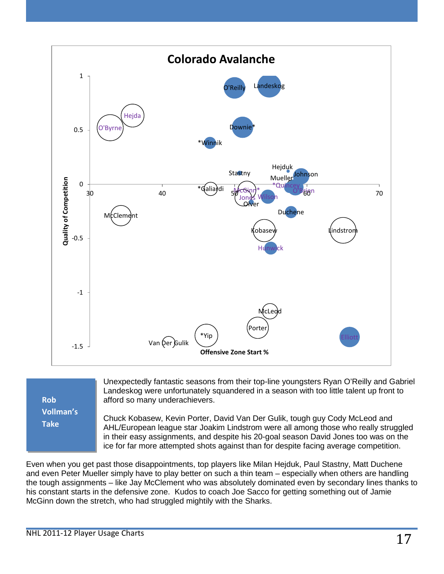

| <b>Rob</b> |
|------------|
| Vollman's  |
| Take       |
|            |

Unexpectedly fantastic seasons from their top-line youngsters Ryan O'Reilly and Gabriel Landeskog were unfortunately squandered in a season with too little talent up front to afford so many underachievers.

Chuck Kobasew, Kevin Porter, David Van Der Gulik, tough guy Cody McLeod and AHL/European league star Joakim Lindstrom were all among those who really struggled in their easy assignments, and despite his 20-goal season David Jones too was on the ice for far more attempted shots against than for despite facing average competition.

Even when you get past those disappointments, top players like Milan Hejduk, Paul Stastny, Matt Duchene and even Peter Mueller simply have to play better on such a thin team – especially when others are handling the tough assignments – like Jay McClement who was absolutely dominated even by secondary lines thanks to his constant starts in the defensive zone. Kudos to coach Joe Sacco for getting something out of Jamie McGinn down the stretch, who had struggled mightily with the Sharks.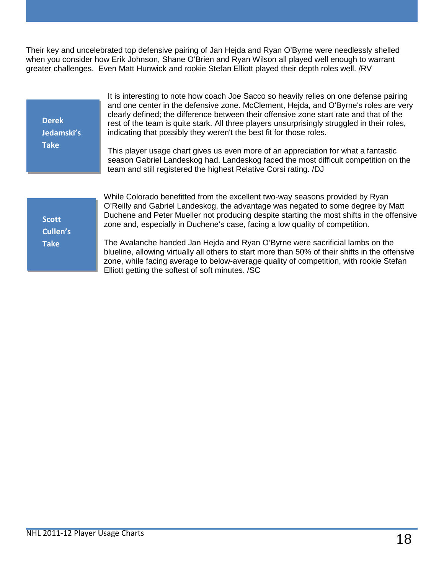Their key and uncelebrated top defensive pairing of Jan Hejda and Ryan O'Byrne were needlessly shelled when you consider how Erik Johnson, Shane O'Brien and Ryan Wilson all played well enough to warrant greater challenges. Even Matt Hunwick and rookie Stefan Elliott played their depth roles well. /RV

| <b>Derek</b><br>Jedamski's<br><b>Take</b> | It is interesting to note how coach Joe Sacco so heavily relies on one defense pairing<br>and one center in the defensive zone. McClement, Hejda, and O'Byrne's roles are very<br>clearly defined; the difference between their offensive zone start rate and that of the<br>rest of the team is quite stark. All three players unsurprisingly struggled in their roles,<br>indicating that possibly they weren't the best fit for those roles. |
|-------------------------------------------|-------------------------------------------------------------------------------------------------------------------------------------------------------------------------------------------------------------------------------------------------------------------------------------------------------------------------------------------------------------------------------------------------------------------------------------------------|
|                                           | This player usage chart gives us even more of an appreciation for what a fantastic<br>season Gabriel Landeskog had. Landeskog faced the most difficult competition on the<br>team and still registered the highest Relative Corsi rating. /DJ                                                                                                                                                                                                   |
| <b>Scott</b><br>Cullen's                  | While Colorado benefitted from the excellent two-way seasons provided by Ryan<br>O'Reilly and Gabriel Landeskog, the advantage was negated to some degree by Matt<br>Duchene and Peter Mueller not producing despite starting the most shifts in the offensive<br>zone and, especially in Duchene's case, facing a low quality of competition.                                                                                                  |
| <b>Take</b>                               | The Avalanche handed Jan Hejda and Ryan O'Byrne were sacrificial lambs on the<br>blueline, allowing virtually all others to start more than 50% of their shifts in the offensive<br>zone, while facing average to below-average quality of competition, with rookie Stefan<br>Elliott getting the softest of soft minutes. /SC                                                                                                                  |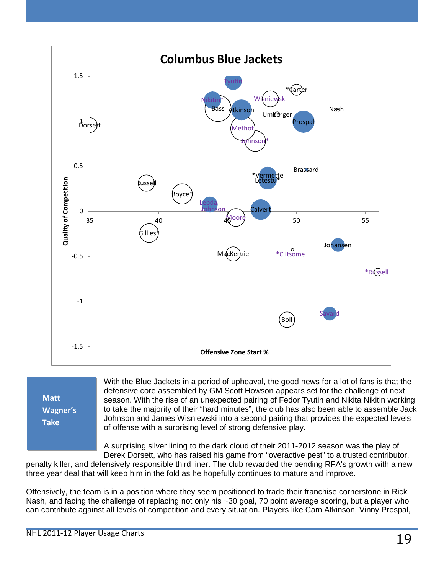

**Matt Wagner's Take**

With the Blue Jackets in a period of upheaval, the good news for a lot of fans is that the defensive core assembled by GM Scott Howson appears set for the challenge of next season. With the rise of an unexpected pairing of Fedor Tyutin and Nikita Nikitin working to take the majority of their "hard minutes", the club has also been able to assemble Jack Johnson and James Wisniewski into a second pairing that provides the expected levels of offense with a surprising level of strong defensive play.

A surprising silver lining to the dark cloud of their 2011-2012 season was the play of Derek Dorsett, who has raised his game from "overactive pest" to a trusted contributor,

penalty killer, and defensively responsible third liner. The club rewarded the pending RFA's growth with a new three year deal that will keep him in the fold as he hopefully continues to mature and improve.

Offensively, the team is in a position where they seem positioned to trade their franchise cornerstone in Rick Nash, and facing the challenge of replacing not only his ~30 goal, 70 point average scoring, but a player who can contribute against all levels of competition and every situation. Players like Cam Atkinson, Vinny Prospal,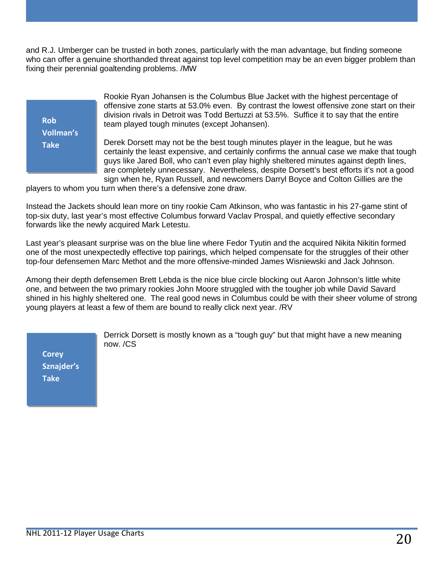and R.J. Umberger can be trusted in both zones, particularly with the man advantage, but finding someone who can offer a genuine shorthanded threat against top level competition may be an even bigger problem than fixing their perennial goaltending problems. /MW

| <b>Rob</b>       |  |
|------------------|--|
| <b>Vollman's</b> |  |
| <b>Take</b>      |  |
|                  |  |

Rookie Ryan Johansen is the Columbus Blue Jacket with the highest percentage of offensive zone starts at 53.0% even. By contrast the lowest offensive zone start on their division rivals in Detroit was Todd Bertuzzi at 53.5%. Suffice it to say that the entire team played tough minutes (except Johansen).

Derek Dorsett may not be the best tough minutes player in the league, but he was certainly the least expensive, and certainly confirms the annual case we make that tough guys like Jared Boll, who can't even play highly sheltered minutes against depth lines, are completely unnecessary. Nevertheless, despite Dorsett's best efforts it's not a good sign when he, Ryan Russell, and newcomers Darryl Boyce and Colton Gillies are the

players to whom you turn when there's a defensive zone draw.

Instead the Jackets should lean more on tiny rookie Cam Atkinson, who was fantastic in his 27-game stint of top-six duty, last year's most effective Columbus forward Vaclav Prospal, and quietly effective secondary forwards like the newly acquired Mark Letestu.

Last year's pleasant surprise was on the blue line where Fedor Tyutin and the acquired Nikita Nikitin formed one of the most unexpectedly effective top pairings, which helped compensate for the struggles of their other top-four defensemen Marc Methot and the more offensive-minded James Wisniewski and Jack Johnson.

Among their depth defensemen Brett Lebda is the nice blue circle blocking out Aaron Johnson's little white one, and between the two primary rookies John Moore struggled with the tougher job while David Savard shined in his highly sheltered one. The real good news in Columbus could be with their sheer volume of strong young players at least a few of them are bound to really click next year. /RV

> Derrick Dorsett is mostly known as a "tough guy" but that might have a new meaning now. /CS

**Corey Sznajder's Take**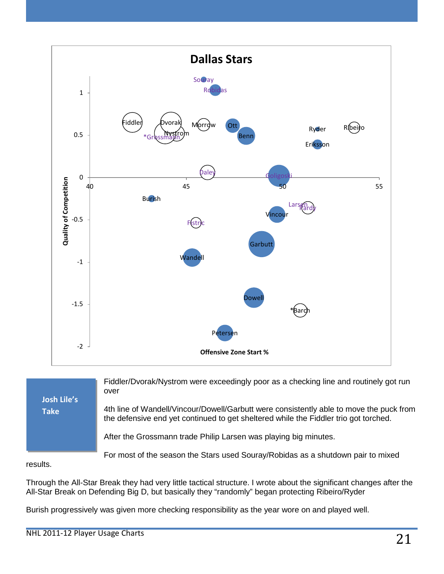

Fiddler/Dvorak/Nystrom were exceedingly poor as a checking line and routinely got run over 4th line of Wandell/Vincour/Dowell/Garbutt were consistently able to move the puck from the defensive end yet continued to get sheltered while the Fiddler trio got torched. After the Grossmann trade Philip Larsen was playing big minutes. **Josh Lile's Take**

For most of the season the Stars used Souray/Robidas as a shutdown pair to mixed

results.

Through the All-Star Break they had very little tactical structure. I wrote about the significant changes after the All-Star Break on Defending Big D, but basically they "randomly" began protecting Ribeiro/Ryder

Burish progressively was given more checking responsibility as the year wore on and played well.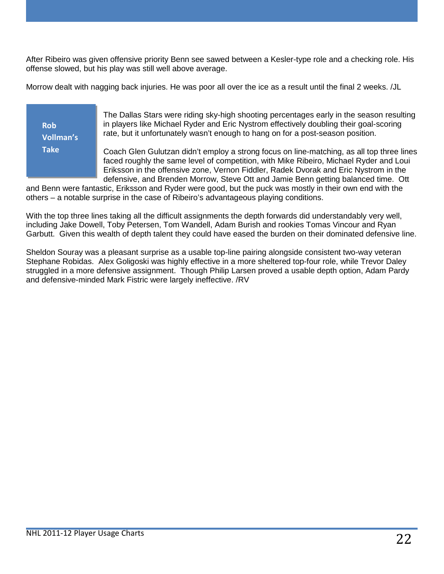After Ribeiro was given offensive priority Benn see sawed between a Kesler-type role and a checking role. His offense slowed, but his play was still well above average.

Morrow dealt with nagging back injuries. He was poor all over the ice as a result until the final 2 weeks. /JL

**Rob Vollman's Take**

The Dallas Stars were riding sky-high shooting percentages early in the season resulting in players like Michael Ryder and Eric Nystrom effectively doubling their goal-scoring rate, but it unfortunately wasn't enough to hang on for a post-season position.

Coach Glen Gulutzan didn't employ a strong focus on line-matching, as all top three lines faced roughly the same level of competition, with Mike Ribeiro, Michael Ryder and Loui Eriksson in the offensive zone, Vernon Fiddler, Radek Dvorak and Eric Nystrom in the defensive, and Brenden Morrow, Steve Ott and Jamie Benn getting balanced time. Ott

and Benn were fantastic, Eriksson and Ryder were good, but the puck was mostly in their own end with the others – a notable surprise in the case of Ribeiro's advantageous playing conditions.

With the top three lines taking all the difficult assignments the depth forwards did understandably very well, including Jake Dowell, Toby Petersen, Tom Wandell, Adam Burish and rookies Tomas Vincour and Ryan Garbutt. Given this wealth of depth talent they could have eased the burden on their dominated defensive line.

Sheldon Souray was a pleasant surprise as a usable top-line pairing alongside consistent two-way veteran Stephane Robidas. Alex Goligoski was highly effective in a more sheltered top-four role, while Trevor Daley struggled in a more defensive assignment. Though Philip Larsen proved a usable depth option, Adam Pardy and defensive-minded Mark Fistric were largely ineffective. /RV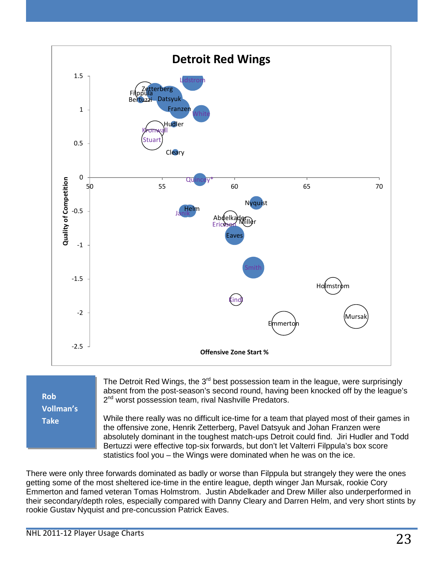

**Rob Vollman's Take**

The Detroit Red Wings, the  $3<sup>rd</sup>$  best possession team in the league, were surprisingly absent from the post-season's second round, having been knocked off by the league's 2<sup>nd</sup> worst possession team, rival Nashville Predators.

While there really was no difficult ice-time for a team that played most of their games in the offensive zone, Henrik Zetterberg, Pavel Datsyuk and Johan Franzen were absolutely dominant in the toughest match-ups Detroit could find. Jiri Hudler and Todd Bertuzzi were effective top-six forwards, but don't let Valterri Filppula's box score statistics fool you – the Wings were dominated when he was on the ice.

There were only three forwards dominated as badly or worse than Filppula but strangely they were the ones getting some of the most sheltered ice-time in the entire league, depth winger Jan Mursak, rookie Cory Emmerton and famed veteran Tomas Holmstrom. Justin Abdelkader and Drew Miller also underperformed in their secondary/depth roles, especially compared with Danny Cleary and Darren Helm, and very short stints by rookie Gustav Nyquist and pre-concussion Patrick Eaves.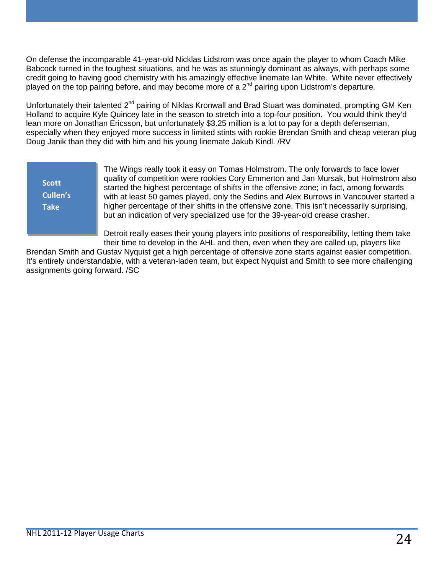On defense the incomparable 41-year-old Nicklas Lidstrom was once again the player to whom Coach Mike Babcock turned in the toughest situations, and he was as stunningly dominant as always, with perhaps some credit going to having good chemistry with his amazingly effective linemate Ian White. White never effectively played on the top pairing before, and may become more of a  $2^{nd}$  pairing upon Lidstrom's departure.

Unfortunately their talented 2<sup>nd</sup> pairing of Niklas Kronwall and Brad Stuart was dominated, prompting GM Ken Holland to acquire Kyle Quincey late in the season to stretch into a top-four position. You would think they'd lean more on Jonathan Ericsson, but unfortunately \$3.25 million is a lot to pay for a depth defenseman, especially when they enjoyed more success in limited stints with rookie Brendan Smith and cheap veteran plug Doug Janik than they did with him and his young linemate Jakub Kindl. /RV

**Scott Cullen's Take**

The Wings really took it easy on Tomas Holmstrom. The only forwards to face lower quality of competition were rookies Cory Emmerton and Jan Mursak, but Holmstrom also started the highest percentage of shifts in the offensive zone; in fact, among forwards with at least 50 games played, only the Sedins and Alex Burrows in Vancouver started a higher percentage of their shifts in the offensive zone. This isn't necessarily surprising, but an indication of very specialized use for the 39-year-old crease crasher.

Detroit really eases their young players into positions of responsibility, letting them take their time to develop in the AHL and then, even when they are called up, players like

Brendan Smith and Gustav Nyquist get a high percentage of offensive zone starts against easier competition. It's entirely understandable, with a veteran-laden team, but expect Nyquist and Smith to see more challenging assignments going forward. /SC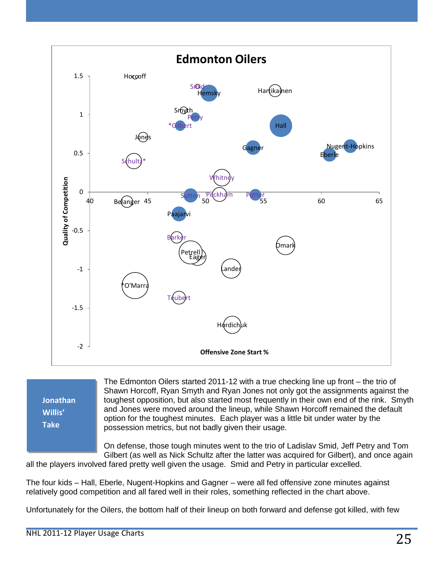

**Jonathan Willis' Take**

The Edmonton Oilers started 2011-12 with a true checking line up front – the trio of Shawn Horcoff, Ryan Smyth and Ryan Jones not only got the assignments against the toughest opposition, but also started most frequently in their own end of the rink. Smyth and Jones were moved around the lineup, while Shawn Horcoff remained the default option for the toughest minutes. Each player was a little bit under water by the possession metrics, but not badly given their usage.

On defense, those tough minutes went to the trio of Ladislav Smid, Jeff Petry and Tom Gilbert (as well as Nick Schultz after the latter was acquired for Gilbert), and once again

all the players involved fared pretty well given the usage. Smid and Petry in particular excelled.

The four kids – Hall, Eberle, Nugent-Hopkins and Gagner – were all fed offensive zone minutes against relatively good competition and all fared well in their roles, something reflected in the chart above.

Unfortunately for the Oilers, the bottom half of their lineup on both forward and defense got killed, with few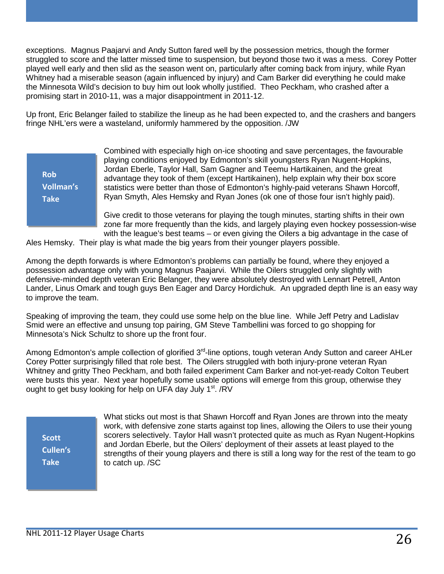exceptions. Magnus Paajarvi and Andy Sutton fared well by the possession metrics, though the former struggled to score and the latter missed time to suspension, but beyond those two it was a mess. Corey Potter played well early and then slid as the season went on, particularly after coming back from injury, while Ryan Whitney had a miserable season (again influenced by injury) and Cam Barker did everything he could make the Minnesota Wild's decision to buy him out look wholly justified. Theo Peckham, who crashed after a promising start in 2010-11, was a major disappointment in 2011-12.

Up front, Eric Belanger failed to stabilize the lineup as he had been expected to, and the crashers and bangers fringe NHL'ers were a wasteland, uniformly hammered by the opposition. /JW

**Rob Vollman's Take**

Combined with especially high on-ice shooting and save percentages, the favourable playing conditions enjoyed by Edmonton's skill youngsters Ryan Nugent-Hopkins, Jordan Eberle, Taylor Hall, Sam Gagner and Teemu Hartikainen, and the great advantage they took of them (except Hartikainen), help explain why their box score statistics were better than those of Edmonton's highly-paid veterans Shawn Horcoff, Ryan Smyth, Ales Hemsky and Ryan Jones (ok one of those four isn't highly paid).

Give credit to those veterans for playing the tough minutes, starting shifts in their own zone far more frequently than the kids, and largely playing even hockey possession-wise with the league's best teams – or even giving the Oilers a big advantage in the case of

Ales Hemsky. Their play is what made the big years from their younger players possible.

Among the depth forwards is where Edmonton's problems can partially be found, where they enjoyed a possession advantage only with young Magnus Paajarvi. While the Oilers struggled only slightly with defensive-minded depth veteran Eric Belanger, they were absolutely destroyed with Lennart Petrell, Anton Lander, Linus Omark and tough guys Ben Eager and Darcy Hordichuk. An upgraded depth line is an easy way to improve the team.

Speaking of improving the team, they could use some help on the blue line. While Jeff Petry and Ladislav Smid were an effective and unsung top pairing, GM Steve Tambellini was forced to go shopping for Minnesota's Nick Schultz to shore up the front four.

Among Edmonton's ample collection of glorified 3<sup>rd</sup>-line options, tough veteran Andy Sutton and career AHLer Corey Potter surprisingly filled that role best. The Oilers struggled with both injury-prone veteran Ryan Whitney and gritty Theo Peckham, and both failed experiment Cam Barker and not-yet-ready Colton Teubert were busts this year. Next year hopefully some usable options will emerge from this group, otherwise they ought to get busy looking for help on UFA day July  $1<sup>st</sup>$ . /RV

**Scott Cullen's Take**

What sticks out most is that Shawn Horcoff and Ryan Jones are thrown into the meaty work, with defensive zone starts against top lines, allowing the Oilers to use their young scorers selectively. Taylor Hall wasn't protected quite as much as Ryan Nugent-Hopkins and Jordan Eberle, but the Oilers' deployment of their assets at least played to the strengths of their young players and there is still a long way for the rest of the team to go to catch up. /SC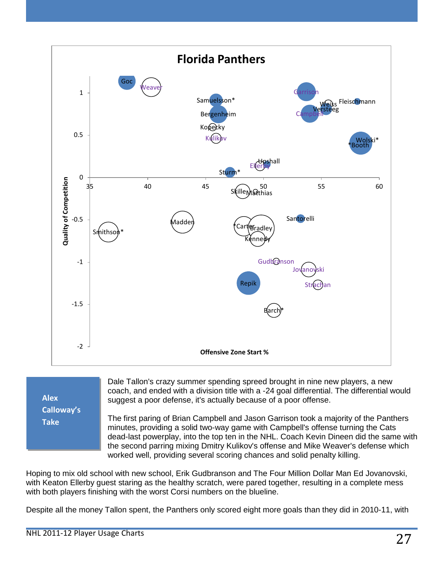

**Alex Calloway's Take**

Dale Tallon's crazy summer spending spreed brought in nine new players, a new coach, and ended with a division title with a -24 goal differential. The differential would suggest a poor defense, it's actually because of a poor offense.

The first paring of Brian Campbell and Jason Garrison took a majority of the Panthers minutes, providing a solid two-way game with Campbell's offense turning the Cats dead-last powerplay, into the top ten in the NHL. Coach Kevin Dineen did the same with the second parring mixing Dmitry Kulikov's offense and Mike Weaver's defense which worked well, providing several scoring chances and solid penalty killing.

Hoping to mix old school with new school, Erik Gudbranson and The Four Million Dollar Man Ed Jovanovski, with Keaton Ellerby guest staring as the healthy scratch, were pared together, resulting in a complete mess with both players finishing with the worst Corsi numbers on the blueline.

Despite all the money Tallon spent, the Panthers only scored eight more goals than they did in 2010-11, with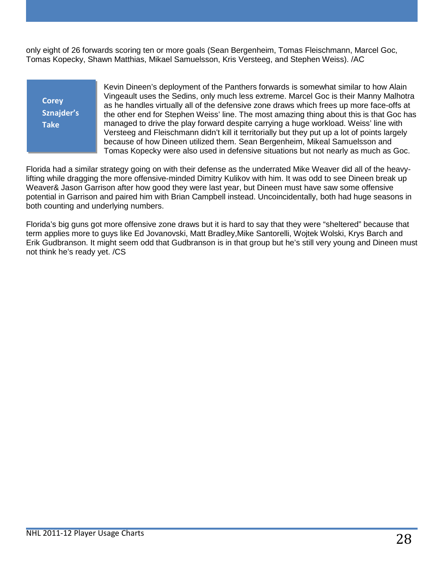only eight of 26 forwards scoring ten or more goals (Sean Bergenheim, Tomas Fleischmann, Marcel Goc, Tomas Kopecky, Shawn Matthias, Mikael Samuelsson, Kris Versteeg, and Stephen Weiss). /AC

**Corey Sznajder's Take**

Kevin Dineen's deployment of the Panthers forwards is somewhat similar to how Alain Vingeault uses the Sedins, only much less extreme. Marcel Goc is their Manny Malhotra as he handles virtually all of the defensive zone draws which frees up more face-offs at the other end for Stephen Weiss' line. The most amazing thing about this is that Goc has managed to drive the play forward despite carrying a huge workload. Weiss' line with Versteeg and Fleischmann didn't kill it territorially but they put up a lot of points largely because of how Dineen utilized them. Sean Bergenheim, Mikeal Samuelsson and Tomas Kopecky were also used in defensive situations but not nearly as much as Goc.

Florida had a similar strategy going on with their defense as the underrated Mike Weaver did all of the heavylifting while dragging the more offensive-minded Dimitry Kulikov with him. It was odd to see Dineen break up Weaver& Jason Garrison after how good they were last year, but Dineen must have saw some offensive potential in Garrison and paired him with Brian Campbell instead. Uncoincidentally, both had huge seasons in both counting and underlying numbers.

Florida's big guns got more offensive zone draws but it is hard to say that they were "sheltered" because that term applies more to guys like Ed Jovanovski, Matt Bradley,Mike Santorelli, Wojtek Wolski, Krys Barch and Erik Gudbranson. It might seem odd that Gudbranson is in that group but he's still very young and Dineen must not think he's ready yet. /CS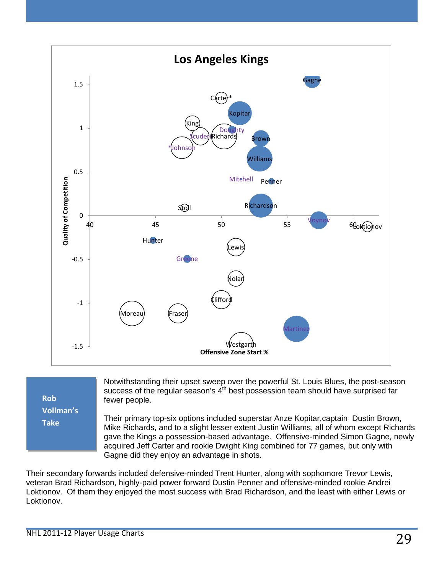

**Rob Vollman's Take**

Notwithstanding their upset sweep over the powerful St. Louis Blues, the post-season success of the regular season's 4<sup>th</sup> best possession team should have surprised far fewer people.

Their primary top-six options included superstar Anze Kopitar,captain Dustin Brown, Mike Richards, and to a slight lesser extent Justin Williams, all of whom except Richards gave the Kings a possession-based advantage. Offensive-minded Simon Gagne, newly acquired Jeff Carter and rookie Dwight King combined for 77 games, but only with Gagne did they enjoy an advantage in shots.

Their secondary forwards included defensive-minded Trent Hunter, along with sophomore Trevor Lewis, veteran Brad Richardson, highly-paid power forward Dustin Penner and offensive-minded rookie Andrei Loktionov. Of them they enjoyed the most success with Brad Richardson, and the least with either Lewis or Loktionov.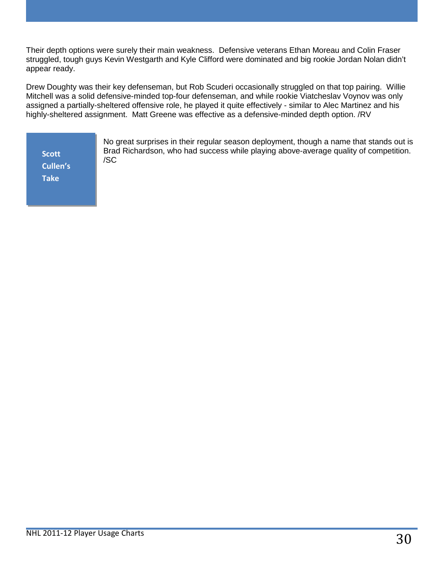Their depth options were surely their main weakness. Defensive veterans Ethan Moreau and Colin Fraser struggled, tough guys Kevin Westgarth and Kyle Clifford were dominated and big rookie Jordan Nolan didn't appear ready.

Drew Doughty was their key defenseman, but Rob Scuderi occasionally struggled on that top pairing. Willie Mitchell was a solid defensive-minded top-four defenseman, and while rookie Viatcheslav Voynov was only assigned a partially-sheltered offensive role, he played it quite effectively - similar to Alec Martinez and his highly-sheltered assignment. Matt Greene was effective as a defensive-minded depth option. /RV

**Scott Cullen's Take**

No great surprises in their regular season deployment, though a name that stands out is Brad Richardson, who had success while playing above-average quality of competition. /SC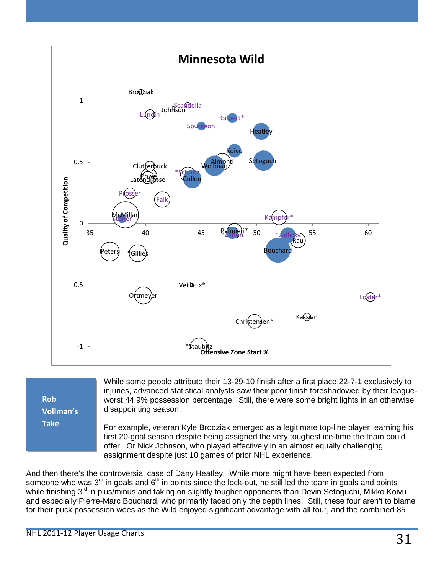

**Rob Vollman's Take**

While some people attribute their 13-29-10 finish after a first place 22-7-1 exclusively to injuries, advanced statistical analysts saw their poor finish foreshadowed by their leagueworst 44.9% possession percentage. Still, there were some bright lights in an otherwise disappointing season.

For example, veteran Kyle Brodziak emerged as a legitimate top-line player, earning his first 20-goal season despite being assigned the very toughest ice-time the team could offer. Or Nick Johnson, who played effectively in an almost equally challenging assignment despite just 10 games of prior NHL experience.

And then there's the controversial case of Dany Heatley. While more might have been expected from someone who was  $3<sup>rd</sup>$  in goals and  $6<sup>th</sup>$  in points since the lock-out, he still led the team in goals and points while finishing 3<sup>rd</sup> in plus/minus and taking on slightly tougher opponents than Devin Setoguchi, Mikko Koivu and especially Pierre-Marc Bouchard, who primarily faced only the depth lines. Still, these four aren't to blame for their puck possession woes as the Wild enjoyed significant advantage with all four, and the combined 85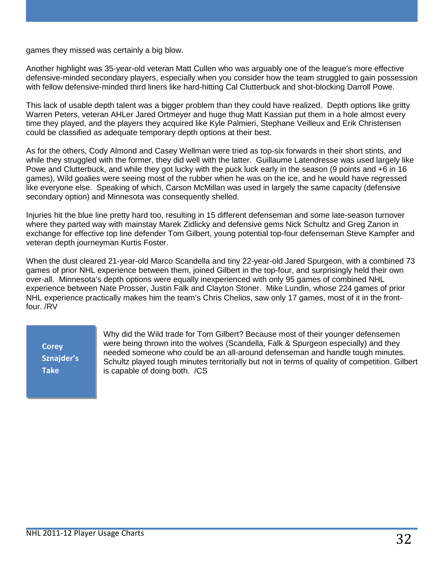games they missed was certainly a big blow.

Another highlight was 35-year-old veteran Matt Cullen who was arguably one of the league's more effective defensive-minded secondary players, especially when you consider how the team struggled to gain possession with fellow defensive-minded third liners like hard-hitting Cal Clutterbuck and shot-blocking Darroll Powe.

This lack of usable depth talent was a bigger problem than they could have realized. Depth options like gritty Warren Peters, veteran AHLer Jared Ortmeyer and huge thug Matt Kassian put them in a hole almost every time they played, and the players they acquired like Kyle Palmieri, Stephane Veilleux and Erik Christensen could be classified as adequate temporary depth options at their best.

As for the others, Cody Almond and Casey Wellman were tried as top-six forwards in their short stints, and while they struggled with the former, they did well with the latter. Guillaume Latendresse was used largely like Powe and Clutterbuck, and while they got lucky with the puck luck early in the season (9 points and +6 in 16 games), Wild goalies were seeing most of the rubber when he was on the ice, and he would have regressed like everyone else. Speaking of which, Carson McMillan was used in largely the same capacity (defensive secondary option) and Minnesota was consequently shelled.

Injuries hit the blue line pretty hard too, resulting in 15 different defenseman and some late-season turnover where they parted way with mainstay Marek Zidlicky and defensive gems Nick Schultz and Greg Zanon in exchange for effective top line defender Tom Gilbert, young potential top-four defenseman Steve Kampfer and veteran depth journeyman Kurtis Foster.

When the dust cleared 21-year-old Marco Scandella and tiny 22-year-old Jared Spurgeon, with a combined 73 games of prior NHL experience between them, joined Gilbert in the top-four, and surprisingly held their own over-all. Minnesota's depth options were equally inexperienced with only 95 games of combined NHL experience between Nate Prosser, Justin Falk and Clayton Stoner. Mike Lundin, whose 224 games of prior NHL experience practically makes him the team's Chris Chelios, saw only 17 games, most of it in the frontfour. /RV

**Corey Sznajder's Take**

Why did the Wild trade for Tom Gilbert? Because most of their younger defensemen were being thrown into the wolves (Scandella, Falk & Spurgeon especially) and they needed someone who could be an all-around defenseman and handle tough minutes. Schultz played tough minutes territorially but not in terms of quality of competition. Gilbert is capable of doing both. /CS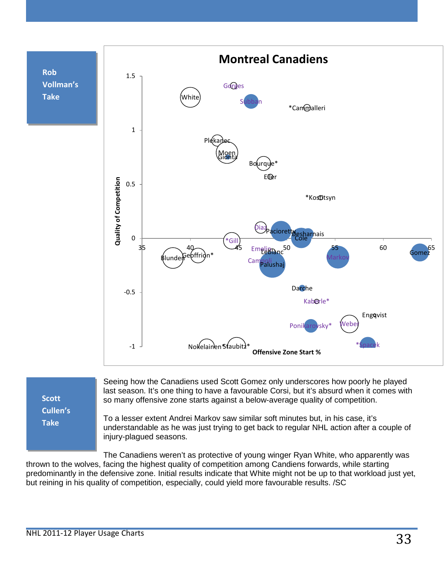

**Scott Cullen's Take**

Seeing how the Canadiens used Scott Gomez only underscores how poorly he played last season. It's one thing to have a favourable Corsi, but it's absurd when it comes with so many offensive zone starts against a below-average quality of competition.

To a lesser extent Andrei Markov saw similar soft minutes but, in his case, it's understandable as he was just trying to get back to regular NHL action after a couple of injury-plagued seasons.

The Canadiens weren't as protective of young winger Ryan White, who apparently was thrown to the wolves, facing the highest quality of competition among Candiens forwards, while starting predominantly in the defensive zone. Initial results indicate that White might not be up to that workload just yet, but reining in his quality of competition, especially, could yield more favourable results. /SC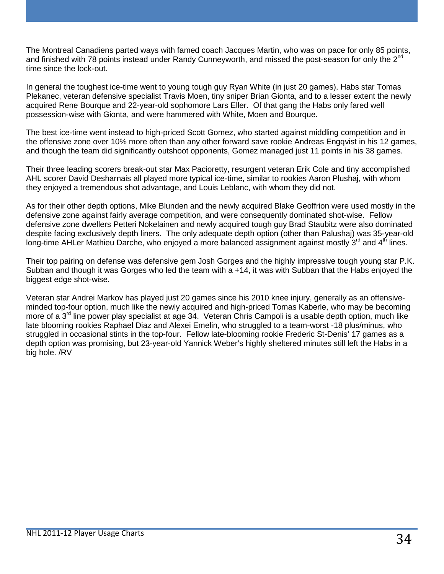The Montreal Canadiens parted ways with famed coach Jacques Martin, who was on pace for only 85 points, and finished with 78 points instead under Randy Cunneyworth, and missed the post-season for only the 2<sup>nd</sup> time since the lock-out.

In general the toughest ice-time went to young tough guy Ryan White (in just 20 games), Habs star Tomas Plekanec, veteran defensive specialist Travis Moen, tiny sniper Brian Gionta, and to a lesser extent the newly acquired Rene Bourque and 22-year-old sophomore Lars Eller. Of that gang the Habs only fared well possession-wise with Gionta, and were hammered with White, Moen and Bourque.

The best ice-time went instead to high-priced Scott Gomez, who started against middling competition and in the offensive zone over 10% more often than any other forward save rookie Andreas Engqvist in his 12 games, and though the team did significantly outshoot opponents, Gomez managed just 11 points in his 38 games.

Their three leading scorers break-out star Max Pacioretty, resurgent veteran Erik Cole and tiny accomplished AHL scorer David Desharnais all played more typical ice-time, similar to rookies Aaron Plushaj, with whom they enjoyed a tremendous shot advantage, and Louis Leblanc, with whom they did not.

As for their other depth options, Mike Blunden and the newly acquired Blake Geoffrion were used mostly in the defensive zone against fairly average competition, and were consequently dominated shot-wise. Fellow defensive zone dwellers Petteri Nokelainen and newly acquired tough guy Brad Staubitz were also dominated despite facing exclusively depth liners. The only adequate depth option (other than Palushaj) was 35-year-old long-time AHLer Mathieu Darche, who enjoyed a more balanced assignment against mostly  $3^{\text{rd}}$  and  $4^{\text{th}}$  lines.

Their top pairing on defense was defensive gem Josh Gorges and the highly impressive tough young star P.K. Subban and though it was Gorges who led the team with a +14, it was with Subban that the Habs enjoyed the biggest edge shot-wise.

Veteran star Andrei Markov has played just 20 games since his 2010 knee injury, generally as an offensiveminded top-four option, much like the newly acquired and high-priced Tomas Kaberle, who may be becoming more of a 3<sup>rd</sup> line power play specialist at age 34. Veteran Chris Campoli is a usable depth option, much like late blooming rookies Raphael Diaz and Alexei Emelin, who struggled to a team-worst -18 plus/minus, who struggled in occasional stints in the top-four. Fellow late-blooming rookie Frederic St-Denis' 17 games as a depth option was promising, but 23-year-old Yannick Weber's highly sheltered minutes still left the Habs in a big hole. /RV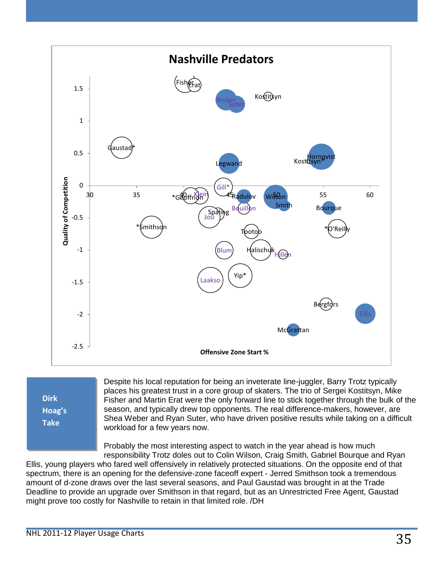

**Dirk Hoag's Take**

Despite his local reputation for being an inveterate line-juggler, Barry Trotz typically places his greatest trust in a core group of skaters. The trio of Sergei Kostitsyn, Mike Fisher and Martin Erat were the only forward line to stick together through the bulk of the season, and typically drew top opponents. The real difference-makers, however, are Shea Weber and Ryan Suter, who have driven positive results while taking on a difficult workload for a few years now.

Probably the most interesting aspect to watch in the year ahead is how much responsibility Trotz doles out to Colin Wilson, Craig Smith, Gabriel Bourque and Ryan

Ellis, young players who fared well offensively in relatively protected situations. On the opposite end of that spectrum, there is an opening for the defensive-zone faceoff expert - Jerred Smithson took a tremendous amount of d-zone draws over the last several seasons, and Paul Gaustad was brought in at the Trade Deadline to provide an upgrade over Smithson in that regard, but as an Unrestricted Free Agent, Gaustad might prove too costly for Nashville to retain in that limited role. /DH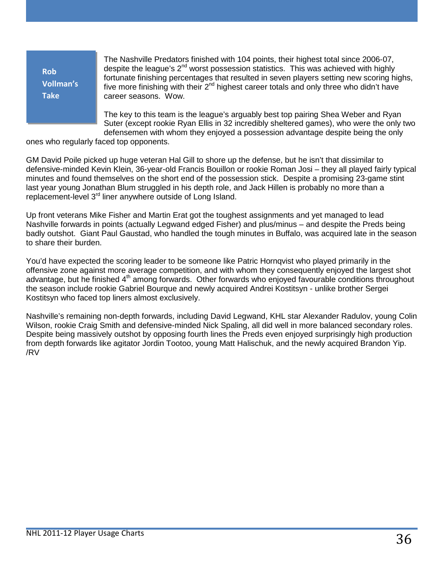| <b>Rob</b><br><b>Vollman's</b><br><b>Take</b> | The Nashville Predators finished with 104 points, their highest total since 2006-07,<br>despite the league's $2^{nd}$ worst possession statistics. This was achieved with highly<br>fortunate finishing percentages that resulted in seven players setting new scoring highs,<br>five more finishing with their $2^{nd}$ highest career totals and only three who didn't have<br>career seasons. Wow. |
|-----------------------------------------------|-------------------------------------------------------------------------------------------------------------------------------------------------------------------------------------------------------------------------------------------------------------------------------------------------------------------------------------------------------------------------------------------------------|
|                                               | The key to this team is the league's arguably best top pairing Shea Weber and Ryan<br>Suter (except rookie Ryan Ellis in 32 incredibly sheltered games), who were the only two                                                                                                                                                                                                                        |
|                                               | defensemen with whom they enjoyed a possession advantage despite being the only                                                                                                                                                                                                                                                                                                                       |

ones who regularly faced top opponents.

GM David Poile picked up huge veteran Hal Gill to shore up the defense, but he isn't that dissimilar to defensive-minded Kevin Klein, 36-year-old Francis Bouillon or rookie Roman Josi – they all played fairly typical minutes and found themselves on the short end of the possession stick. Despite a promising 23-game stint last year young Jonathan Blum struggled in his depth role, and Jack Hillen is probably no more than a replacement-level 3<sup>rd</sup> liner anywhere outside of Long Island.

Up front veterans Mike Fisher and Martin Erat got the toughest assignments and yet managed to lead Nashville forwards in points (actually Legwand edged Fisher) and plus/minus – and despite the Preds being badly outshot. Giant Paul Gaustad, who handled the tough minutes in Buffalo, was acquired late in the season to share their burden.

You'd have expected the scoring leader to be someone like Patric Hornqvist who played primarily in the offensive zone against more average competition, and with whom they consequently enjoyed the largest shot advantage, but he finished 4<sup>th</sup> among forwards. Other forwards who enjoyed favourable conditions throughout the season include rookie Gabriel Bourque and newly acquired Andrei Kostitsyn - unlike brother Sergei Kostitsyn who faced top liners almost exclusively.

Nashville's remaining non-depth forwards, including David Legwand, KHL star Alexander Radulov, young Colin Wilson, rookie Craig Smith and defensive-minded Nick Spaling, all did well in more balanced secondary roles. Despite being massively outshot by opposing fourth lines the Preds even enjoyed surprisingly high production from depth forwards like agitator Jordin Tootoo, young Matt Halischuk, and the newly acquired Brandon Yip. /RV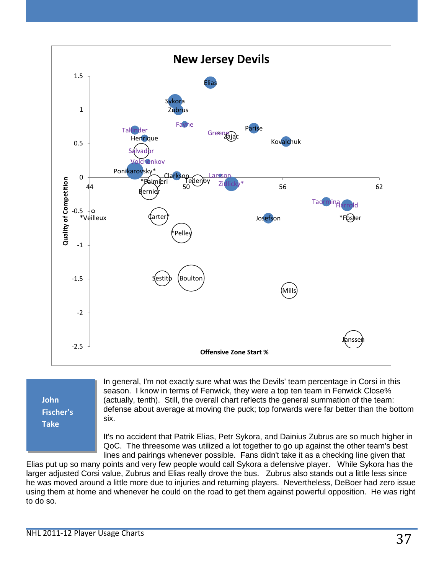

# **John Fischer's Take**

In general, I'm not exactly sure what was the Devils' team percentage in Corsi in this season. I know in terms of Fenwick, they were a top ten team in Fenwick Close% (actually, tenth). Still, the overall chart reflects the general summation of the team: defense about average at moving the puck; top forwards were far better than the bottom six.

It's no accident that Patrik Elias, Petr Sykora, and Dainius Zubrus are so much higher in QoC. The threesome was utilized a lot together to go up against the other team's best lines and pairings whenever possible. Fans didn't take it as a checking line given that

Elias put up so many points and very few people would call Sykora a defensive player. While Sykora has the larger adjusted Corsi value, Zubrus and Elias really drove the bus. Zubrus also stands out a little less since he was moved around a little more due to injuries and returning players. Nevertheless, DeBoer had zero issue using them at home and whenever he could on the road to get them against powerful opposition. He was right to do so.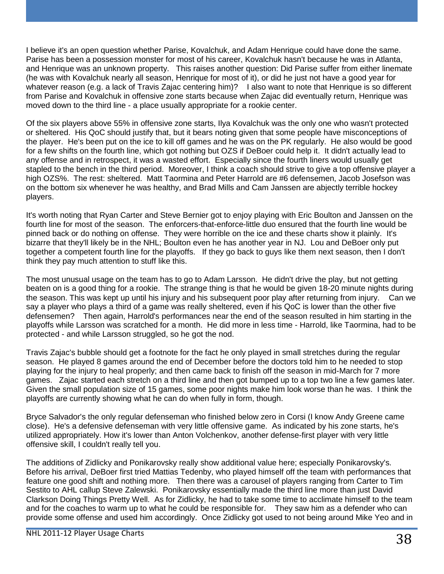I believe it's an open question whether Parise, Kovalchuk, and Adam Henrique could have done the same. Parise has been a possession monster for most of his career, Kovalchuk hasn't because he was in Atlanta, and Henrique was an unknown property. This raises another question: Did Parise suffer from either linemate (he was with Kovalchuk nearly all season, Henrique for most of it), or did he just not have a good year for whatever reason (e.g. a lack of Travis Zajac centering him)? I also want to note that Henrique is so different from Parise and Kovalchuk in offensive zone starts because when Zajac did eventually return, Henrique was moved down to the third line - a place usually appropriate for a rookie center.

Of the six players above 55% in offensive zone starts, Ilya Kovalchuk was the only one who wasn't protected or sheltered. His QoC should justify that, but it bears noting given that some people have misconceptions of the player. He's been put on the ice to kill off games and he was on the PK regularly. He also would be good for a few shifts on the fourth line, which got nothing but OZS if DeBoer could help it. It didn't actually lead to any offense and in retrospect, it was a wasted effort. Especially since the fourth liners would usually get stapled to the bench in the third period. Moreover, I think a coach should strive to give a top offensive player a high OZS%. The rest: sheltered. Matt Taormina and Peter Harrold are #6 defensemen, Jacob Josefson was on the bottom six whenever he was healthy, and Brad Mills and Cam Janssen are abjectly terrible hockey players.

It's worth noting that Ryan Carter and Steve Bernier got to enjoy playing with Eric Boulton and Janssen on the fourth line for most of the season. The enforcers-that-enforce-little duo ensured that the fourth line would be pinned back or do nothing on offense. They were horrible on the ice and these charts show it plainly. It's bizarre that they'll likely be in the NHL; Boulton even he has another year in NJ. Lou and DeBoer only put together a competent fourth line for the playoffs. If they go back to guys like them next season, then I don't think they pay much attention to stuff like this.

The most unusual usage on the team has to go to Adam Larsson. He didn't drive the play, but not getting beaten on is a good thing for a rookie. The strange thing is that he would be given 18-20 minute nights during the season. This was kept up until his injury and his subsequent poor play after returning from injury. Can we say a player who plays a third of a game was really sheltered, even if his QoC is lower than the other five defensemen? Then again, Harrold's performances near the end of the season resulted in him starting in the playoffs while Larsson was scratched for a month. He did more in less time - Harrold, like Taormina, had to be protected - and while Larsson struggled, so he got the nod.

Travis Zajac's bubble should get a footnote for the fact he only played in small stretches during the regular season. He played 8 games around the end of December before the doctors told him to he needed to stop playing for the injury to heal properly; and then came back to finish off the season in mid-March for 7 more games. Zajac started each stretch on a third line and then got bumped up to a top two line a few games later. Given the small population size of 15 games, some poor nights make him look worse than he was. I think the playoffs are currently showing what he can do when fully in form, though.

Bryce Salvador's the only regular defenseman who finished below zero in Corsi (I know Andy Greene came close). He's a defensive defenseman with very little offensive game. As indicated by his zone starts, he's utilized appropriately. How it's lower than Anton Volchenkov, another defense-first player with very little offensive skill, I couldn't really tell you.

The additions of Zidlicky and Ponikarovsky really show additional value here; especially Ponikarovsky's. Before his arrival, DeBoer first tried Mattias Tedenby, who played himself off the team with performances that feature one good shift and nothing more. Then there was a carousel of players ranging from Carter to Tim Sestito to AHL callup Steve Zalewski. Ponikarovsky essentially made the third line more than just David Clarkson Doing Things Pretty Well. As for Zidlicky, he had to take some time to acclimate himself to the team and for the coaches to warm up to what he could be responsible for. They saw him as a defender who can provide some offense and used him accordingly. Once Zidlicky got used to not being around Mike Yeo and in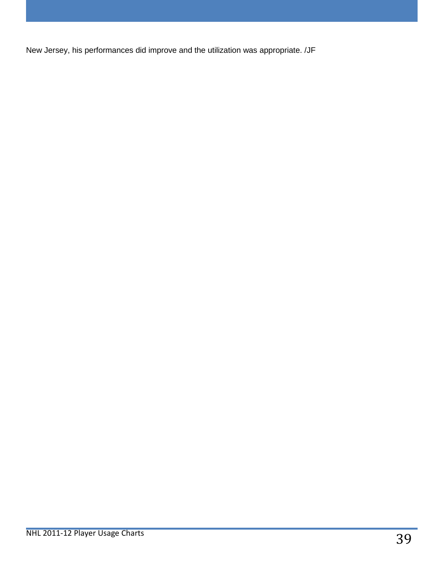New Jersey, his performances did improve and the utilization was appropriate. /JF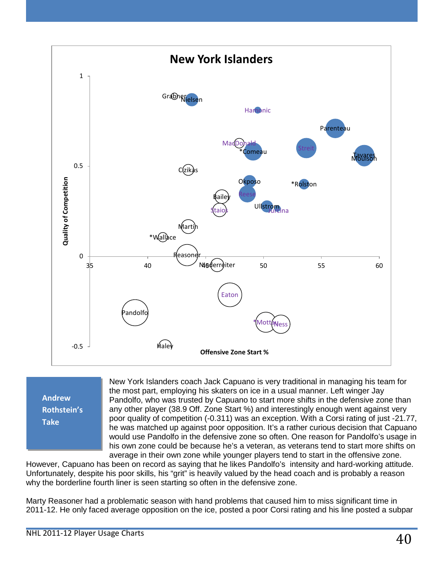



New York Islanders coach Jack Capuano is very traditional in managing his team for the most part, employing his skaters on ice in a usual manner. Left winger Jay Pandolfo, who was trusted by Capuano to start more shifts in the defensive zone than any other player (38.9 Off. Zone Start %) and interestingly enough went against very poor quality of competition (-0.311) was an exception. With a Corsi rating of just -21.77, he was matched up against poor opposition. It's a rather curious decision that Capuano would use Pandolfo in the defensive zone so often. One reason for Pandolfo's usage in his own zone could be because he's a veteran, as veterans tend to start more shifts on average in their own zone while younger players tend to start in the offensive zone.

However, Capuano has been on record as saying that he likes Pandolfo's intensity and hard-working attitude. Unfortunately, despite his poor skills, his "grit" is heavily valued by the head coach and is probably a reason why the borderline fourth liner is seen starting so often in the defensive zone.

Marty Reasoner had a problematic season with hand problems that caused him to miss significant time in 2011-12. He only faced average opposition on the ice, posted a poor Corsi rating and his line posted a subpar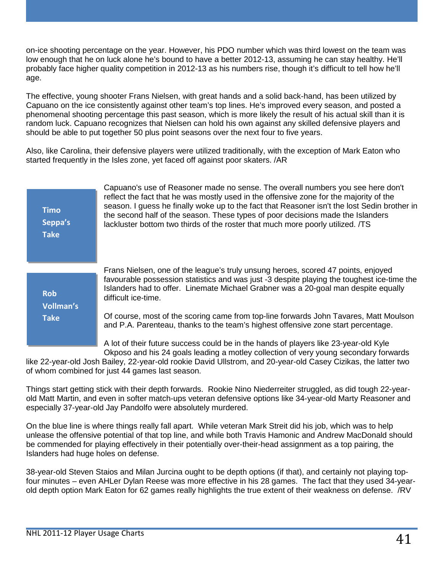on-ice shooting percentage on the year. However, his PDO number which was third lowest on the team was low enough that he on luck alone he's bound to have a better 2012-13, assuming he can stay healthy. He'll probably face higher quality competition in 2012-13 as his numbers rise, though it's difficult to tell how he'll age.

The effective, young shooter Frans Nielsen, with great hands and a solid back-hand, has been utilized by Capuano on the ice consistently against other team's top lines. He's improved every season, and posted a phenomenal shooting percentage this past season, which is more likely the result of his actual skill than it is random luck. Capuano recognizes that Nielsen can hold his own against any skilled defensive players and should be able to put together 50 plus point seasons over the next four to five years.

Also, like Carolina, their defensive players were utilized traditionally, with the exception of Mark Eaton who started frequently in the Isles zone, yet faced off against poor skaters. /AR

| <b>Timo</b><br>Seppa's<br><b>Take</b> | Capuano's use of Reasoner made no sense. The overall numbers you see here don't<br>reflect the fact that he was mostly used in the offensive zone for the majority of the<br>season. I guess he finally woke up to the fact that Reasoner isn't the lost Sedin brother in<br>the second half of the season. These types of poor decisions made the Islanders<br>lackluster bottom two thirds of the roster that much more poorly utilized. /TS |
|---------------------------------------|------------------------------------------------------------------------------------------------------------------------------------------------------------------------------------------------------------------------------------------------------------------------------------------------------------------------------------------------------------------------------------------------------------------------------------------------|
| <b>Rob</b><br><b>Vollman's</b>        | Frans Nielsen, one of the league's truly unsung heroes, scored 47 points, enjoyed<br>favourable possession statistics and was just -3 despite playing the toughest ice-time the<br>Islanders had to offer. Linemate Michael Grabner was a 20-goal man despite equally<br>difficult ice-time.                                                                                                                                                   |
| <b>Take</b>                           | Of course, most of the scoring came from top-line forwards John Tavares, Matt Moulson<br>and P.A. Parenteau, thanks to the team's highest offensive zone start percentage.                                                                                                                                                                                                                                                                     |
|                                       | A lot of their future success could be in the hands of players like 23-year-old Kyle<br>Okposo and his 24 goals leading a motley collection of very young secondary forwards<br>יינו ויירא היום האו יוונויים יו נו האינו ונו האוין הי                                                                                                                                                                                                          |

like 22-year-old Josh Bailey, 22-year-old rookie David Ullstrom, and 20-year-old Casey Cizikas, the latter two of whom combined for just 44 games last season.

Things start getting stick with their depth forwards. Rookie Nino Niederreiter struggled, as did tough 22-yearold Matt Martin, and even in softer match-ups veteran defensive options like 34-year-old Marty Reasoner and especially 37-year-old Jay Pandolfo were absolutely murdered.

On the blue line is where things really fall apart. While veteran Mark Streit did his job, which was to help unlease the offensive potential of that top line, and while both Travis Hamonic and Andrew MacDonald should be commended for playing effectively in their potentially over-their-head assignment as a top pairing, the Islanders had huge holes on defense.

38-year-old Steven Staios and Milan Jurcina ought to be depth options (if that), and certainly not playing topfour minutes – even AHLer Dylan Reese was more effective in his 28 games. The fact that they used 34-yearold depth option Mark Eaton for 62 games really highlights the true extent of their weakness on defense. /RV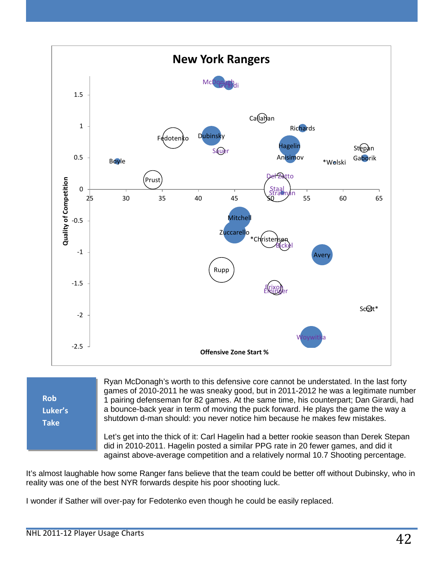

**Rob Luker's Take**

Ryan McDonagh's worth to this defensive core cannot be understated. In the last forty games of 2010-2011 he was sneaky good, but in 2011-2012 he was a legitimate number 1 pairing defenseman for 82 games. At the same time, his counterpart; Dan Girardi, had a bounce-back year in term of moving the puck forward. He plays the game the way a shutdown d-man should: you never notice him because he makes few mistakes.

Let's get into the thick of it: Carl Hagelin had a better rookie season than Derek Stepan did in 2010-2011. Hagelin posted a similar PPG rate in 20 fewer games, and did it against above-average competition and a relatively normal 10.7 Shooting percentage.

It's almost laughable how some Ranger fans believe that the team could be better off without Dubinsky, who in reality was one of the best NYR forwards despite his poor shooting luck.

I wonder if Sather will over-pay for Fedotenko even though he could be easily replaced.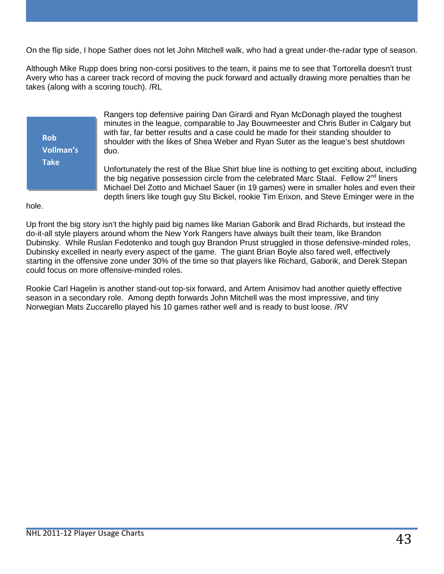On the flip side, I hope Sather does not let John Mitchell walk, who had a great under-the-radar type of season.

Although Mike Rupp does bring non-corsi positives to the team, it pains me to see that Tortorella doesn't trust Avery who has a career track record of moving the puck forward and actually drawing more penalties than he takes (along with a scoring touch). /RL

**Rob Vollman's Take**

Rangers top defensive pairing Dan Girardi and Ryan McDonagh played the toughest minutes in the league, comparable to Jay Bouwmeester and Chris Butler in Calgary but with far, far better results and a case could be made for their standing shoulder to shoulder with the likes of Shea Weber and Ryan Suter as the league's best shutdown duo.

Unfortunately the rest of the Blue Shirt blue line is nothing to get exciting about, including the big negative possession circle from the celebrated Marc Staal. Fellow  $2<sup>nd</sup>$  liners Michael Del Zotto and Michael Sauer (in 19 games) were in smaller holes and even their depth liners like tough guy Stu Bickel, rookie Tim Erixon, and Steve Eminger were in the

hole.

Up front the big story isn't the highly paid big names like Marian Gaborik and Brad Richards, but instead the do-it-all style players around whom the New York Rangers have always built their team, like Brandon Dubinsky. While Ruslan Fedotenko and tough guy Brandon Prust struggled in those defensive-minded roles, Dubinsky excelled in nearly every aspect of the game. The giant Brian Boyle also fared well, effectively starting in the offensive zone under 30% of the time so that players like Richard, Gaborik, and Derek Stepan could focus on more offensive-minded roles.

Rookie Carl Hagelin is another stand-out top-six forward, and Artem Anisimov had another quietly effective season in a secondary role. Among depth forwards John Mitchell was the most impressive, and tiny Norwegian Mats Zuccarello played his 10 games rather well and is ready to bust loose. /RV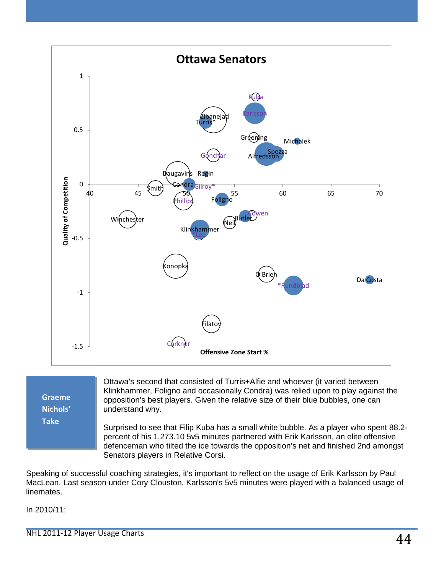

**Graeme Nichols' Take**

Ottawa's second that consisted of Turris+Alfie and whoever (it varied between Klinkhammer, Foligno and occasionally Condra) was relied upon to play against the opposition's best players. Given the relative size of their blue bubbles, one can understand why.

Surprised to see that Filip Kuba has a small white bubble. As a player who spent 88.2 percent of his 1,273.10 5v5 minutes partnered with Erik Karlsson, an elite offensive defenceman who tilted the ice towards the opposition's net and finished 2nd amongst Senators players in Relative Corsi.

Speaking of successful coaching strategies, it's important to reflect on the usage of Erik Karlsson by Paul MacLean. Last season under Cory Clouston, Karlsson's 5v5 minutes were played with a balanced usage of linemates.

In 2010/11: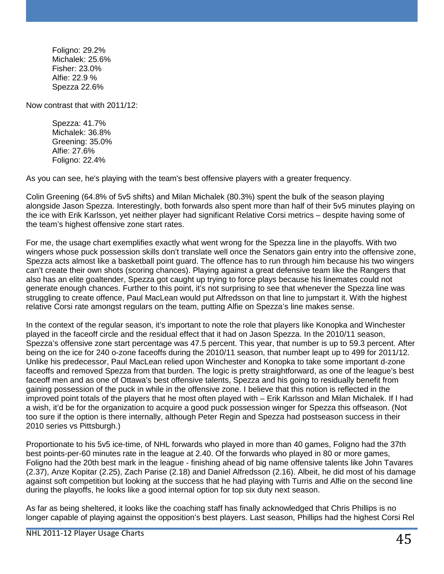Foligno: 29.2% Michalek: 25.6% Fisher: 23.0% Alfie: 22.9 % Spezza 22.6%

Now contrast that with 2011/12:

Spezza: 41.7% Michalek: 36.8% Greening: 35.0% Alfie: 27.6% Foligno: 22.4%

As you can see, he's playing with the team's best offensive players with a greater frequency.

Colin Greening (64.8% of 5v5 shifts) and Milan Michalek (80.3%) spent the bulk of the season playing alongside Jason Spezza. Interestingly, both forwards also spent more than half of their 5v5 minutes playing on the ice with Erik Karlsson, yet neither player had significant Relative Corsi metrics – despite having some of the team's highest offensive zone start rates.

For me, the usage chart exemplifies exactly what went wrong for the Spezza line in the playoffs. With two wingers whose puck possession skills don't translate well once the Senators gain entry into the offensive zone, Spezza acts almost like a basketball point guard. The offence has to run through him because his two wingers can't create their own shots (scoring chances). Playing against a great defensive team like the Rangers that also has an elite goaltender, Spezza got caught up trying to force plays because his linemates could not generate enough chances. Further to this point, it's not surprising to see that whenever the Spezza line was struggling to create offence, Paul MacLean would put Alfredsson on that line to jumpstart it. With the highest relative Corsi rate amongst regulars on the team, putting Alfie on Spezza's line makes sense.

In the context of the regular season, it's important to note the role that players like Konopka and Winchester played in the faceoff circle and the residual effect that it had on Jason Spezza. In the 2010/11 season, Spezza's offensive zone start percentage was 47.5 percent. This year, that number is up to 59.3 percent. After being on the ice for 240 o-zone faceoffs during the 2010/11 season, that number leapt up to 499 for 2011/12. Unlike his predecessor, Paul MacLean relied upon Winchester and Konopka to take some important d-zone faceoffs and removed Spezza from that burden. The logic is pretty straightforward, as one of the league's best faceoff men and as one of Ottawa's best offensive talents, Spezza and his going to residually benefit from gaining possession of the puck in while in the offensive zone. I believe that this notion is reflected in the improved point totals of the players that he most often played with – Erik Karlsson and Milan Michalek. If I had a wish, it'd be for the organization to acquire a good puck possession winger for Spezza this offseason. (Not too sure if the option is there internally, although Peter Regin and Spezza had postseason success in their 2010 series vs Pittsburgh.)

Proportionate to his 5v5 ice-time, of NHL forwards who played in more than 40 games, Foligno had the 37th best points-per-60 minutes rate in the league at 2.40. Of the forwards who played in 80 or more games, Foligno had the 20th best mark in the league - finishing ahead of big name offensive talents like John Tavares (2.37), Anze Kopitar (2.25), Zach Parise (2.18) and Daniel Alfredsson (2.16). Albeit, he did most of his damage against soft competition but looking at the success that he had playing with Turris and Alfie on the second line during the playoffs, he looks like a good internal option for top six duty next season.

As far as being sheltered, it looks like the coaching staff has finally acknowledged that Chris Phillips is no longer capable of playing against the opposition's best players. Last season, Phillips had the highest Corsi Rel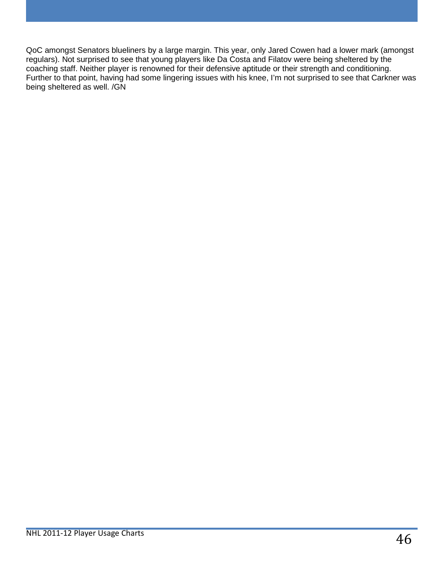QoC amongst Senators blueliners by a large margin. This year, only Jared Cowen had a lower mark (amongst regulars). Not surprised to see that young players like Da Costa and Filatov were being sheltered by the coaching staff. Neither player is renowned for their defensive aptitude or their strength and conditioning. Further to that point, having had some lingering issues with his knee, I'm not surprised to see that Carkner was being sheltered as well. /GN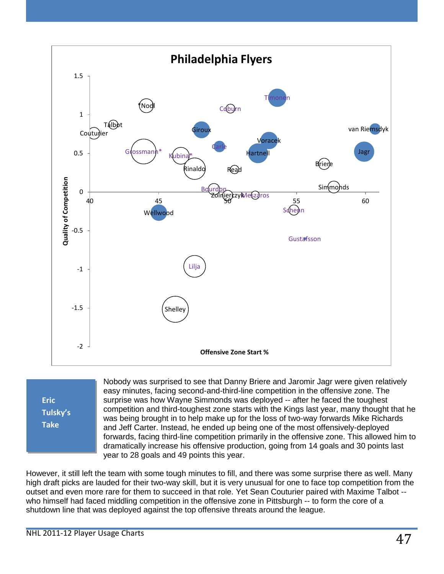

| Eric            |
|-----------------|
| <b>Tulsky's</b> |
| <b>Take</b>     |
|                 |

Nobody was surprised to see that Danny Briere and Jaromir Jagr were given relatively easy minutes, facing second-and-third-line competition in the offensive zone. The surprise was how Wayne Simmonds was deployed -- after he faced the toughest competition and third-toughest zone starts with the Kings last year, many thought that he was being brought in to help make up for the loss of two-way forwards Mike Richards and Jeff Carter. Instead, he ended up being one of the most offensively-deployed forwards, facing third-line competition primarily in the offensive zone. This allowed him to dramatically increase his offensive production, going from 14 goals and 30 points last year to 28 goals and 49 points this year.

However, it still left the team with some tough minutes to fill, and there was some surprise there as well. Many high draft picks are lauded for their two-way skill, but it is very unusual for one to face top competition from the outset and even more rare for them to succeed in that role. Yet Sean Couturier paired with Maxime Talbot - who himself had faced middling competition in the offensive zone in Pittsburgh -- to form the core of a shutdown line that was deployed against the top offensive threats around the league.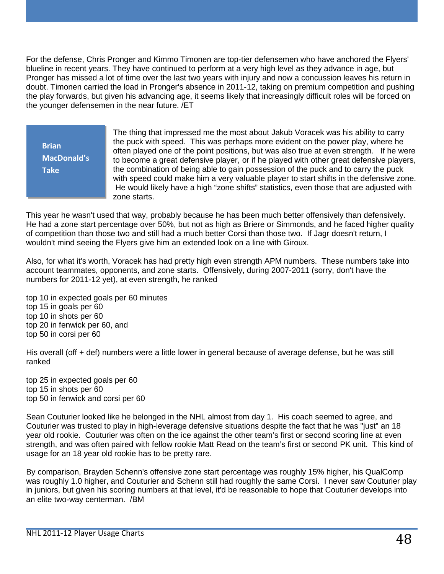For the defense, Chris Pronger and Kimmo Timonen are top-tier defensemen who have anchored the Flyers' blueline in recent years. They have continued to perform at a very high level as they advance in age, but Pronger has missed a lot of time over the last two years with injury and now a concussion leaves his return in doubt. Timonen carried the load in Pronger's absence in 2011-12, taking on premium competition and pushing the play forwards, but given his advancing age, it seems likely that increasingly difficult roles will be forced on the younger defensemen in the near future. /ET

**Brian MacDonald's Take**

The thing that impressed me the most about Jakub Voracek was his ability to carry the puck with speed. This was perhaps more evident on the power play, where he often played one of the point positions, but was also true at even strength. If he were to become a great defensive player, or if he played with other great defensive players, the combination of being able to gain possession of the puck and to carry the puck with speed could make him a very valuable player to start shifts in the defensive zone. He would likely have a high "zone shifts" statistics, even those that are adjusted with zone starts.

This year he wasn't used that way, probably because he has been much better offensively than defensively. He had a zone start percentage over 50%, but not as high as Briere or Simmonds, and he faced higher quality of competition than those two and still had a much better Corsi than those two. If Jagr doesn't return, I wouldn't mind seeing the Flyers give him an extended look on a line with Giroux.

Also, for what it's worth, Voracek has had pretty high even strength APM numbers. These numbers take into account teammates, opponents, and zone starts. Offensively, during 2007-2011 (sorry, don't have the numbers for 2011-12 yet), at even strength, he ranked

top 10 in expected goals per 60 minutes top 15 in goals per 60 top 10 in shots per 60 top 20 in fenwick per 60, and top 50 in corsi per 60

His overall (off + def) numbers were a little lower in general because of average defense, but he was still ranked

top 25 in expected goals per 60 top 15 in shots per 60 top 50 in fenwick and corsi per 60

Sean Couturier looked like he belonged in the NHL almost from day 1. His coach seemed to agree, and Couturier was trusted to play in high-leverage defensive situations despite the fact that he was "just" an 18 year old rookie. Couturier was often on the ice against the other team's first or second scoring line at even strength, and was often paired with fellow rookie Matt Read on the team's first or second PK unit. This kind of usage for an 18 year old rookie has to be pretty rare.

By comparison, Brayden Schenn's offensive zone start percentage was roughly 15% higher, his QualComp was roughly 1.0 higher, and Couturier and Schenn still had roughly the same Corsi. I never saw Couturier play in juniors, but given his scoring numbers at that level, it'd be reasonable to hope that Couturier develops into an elite two-way centerman. /BM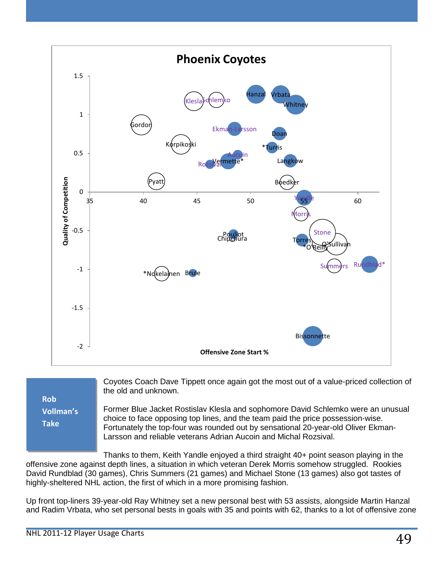

**Rob Vollman's Take**

Coyotes Coach Dave Tippett once again got the most out of a value-priced collection of the old and unknown.

Former Blue Jacket Rostislav Klesla and sophomore David Schlemko were an unusual choice to face opposing top lines, and the team paid the price possession-wise. Fortunately the top-four was rounded out by sensational 20-year-old Oliver Ekman-Larsson and reliable veterans Adrian Aucoin and Michal Rozsival.

Thanks to them, Keith Yandle enjoyed a third straight 40+ point season playing in the offensive zone against depth lines, a situation in which veteran Derek Morris somehow struggled. Rookies David Rundblad (30 games), Chris Summers (21 games) and Michael Stone (13 games) also got tastes of highly-sheltered NHL action, the first of which in a more promising fashion.

Up front top-liners 39-year-old Ray Whitney set a new personal best with 53 assists, alongside Martin Hanzal and Radim Vrbata, who set personal bests in goals with 35 and points with 62, thanks to a lot of offensive zone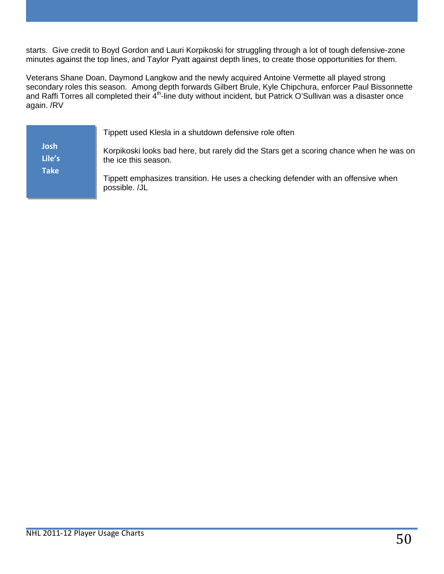starts. Give credit to Boyd Gordon and Lauri Korpikoski for struggling through a lot of tough defensive-zone minutes against the top lines, and Taylor Pyatt against depth lines, to create those opportunities for them.

Veterans Shane Doan, Daymond Langkow and the newly acquired Antoine Vermette all played strong secondary roles this season. Among depth forwards Gilbert Brule, Kyle Chipchura, enforcer Paul Bissonnette and Raffi Torres all completed their 4<sup>th</sup>-line duty without incident, but Patrick O'Sullivan was a disaster once again. /RV

|                | Tippett used Klesla in a shutdown defensive role often                                                          |
|----------------|-----------------------------------------------------------------------------------------------------------------|
| Josh<br>Lile's | Korpikoski looks bad here, but rarely did the Stars get a scoring chance when he was on<br>the ice this season. |
| <b>Take</b>    | Tippett emphasizes transition. He uses a checking defender with an offensive when<br>possible. /JL              |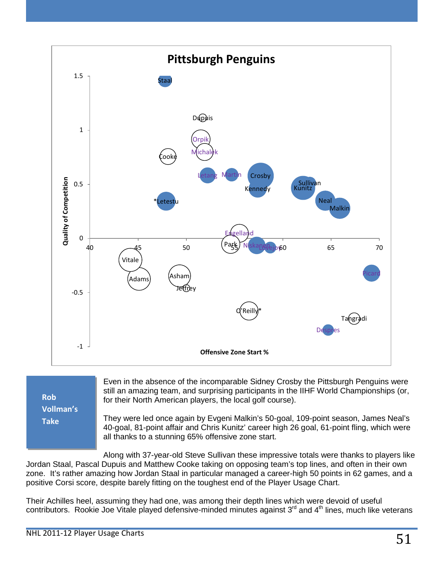

**Rob Vollman's Take**

Even in the absence of the incomparable Sidney Crosby the Pittsburgh Penguins were still an amazing team, and surprising participants in the IIHF World Championships (or, for their North American players, the local golf course).

They were led once again by Evgeni Malkin's 50-goal, 109-point season, James Neal's 40-goal, 81-point affair and Chris Kunitz' career high 26 goal, 61-point fling, which were all thanks to a stunning 65% offensive zone start.

Along with 37-year-old Steve Sullivan these impressive totals were thanks to players like Jordan Staal, Pascal Dupuis and Matthew Cooke taking on opposing team's top lines, and often in their own zone. It's rather amazing how Jordan Staal in particular managed a career-high 50 points in 62 games, and a positive Corsi score, despite barely fitting on the toughest end of the Player Usage Chart.

Their Achilles heel, assuming they had one, was among their depth lines which were devoid of useful contributors. Rookie Joe Vitale played defensive-minded minutes against 3<sup>rd</sup> and 4<sup>th</sup> lines, much like veterans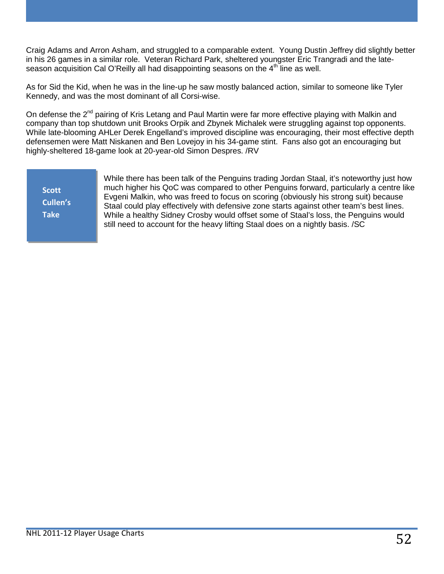Craig Adams and Arron Asham, and struggled to a comparable extent. Young Dustin Jeffrey did slightly better in his 26 games in a similar role. Veteran Richard Park, sheltered youngster Eric Trangradi and the lateseason acquisition Cal O'Reilly all had disappointing seasons on the  $4<sup>th</sup>$  line as well.

As for Sid the Kid, when he was in the line-up he saw mostly balanced action, similar to someone like Tyler Kennedy, and was the most dominant of all Corsi-wise.

On defense the 2<sup>nd</sup> pairing of Kris Letang and Paul Martin were far more effective playing with Malkin and company than top shutdown unit Brooks Orpik and Zbynek Michalek were struggling against top opponents. While late-blooming AHLer Derek Engelland's improved discipline was encouraging, their most effective depth defensemen were Matt Niskanen and Ben Lovejoy in his 34-game stint. Fans also got an encouraging but highly-sheltered 18-game look at 20-year-old Simon Despres. /RV

**Scott Cullen's Take**

While there has been talk of the Penguins trading Jordan Staal, it's noteworthy just how much higher his QoC was compared to other Penguins forward, particularly a centre like Evgeni Malkin, who was freed to focus on scoring (obviously his strong suit) because Staal could play effectively with defensive zone starts against other team's best lines. While a healthy Sidney Crosby would offset some of Staal's loss, the Penguins would still need to account for the heavy lifting Staal does on a nightly basis. /SC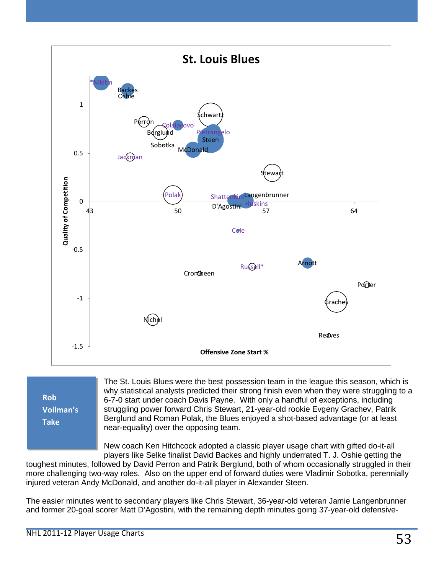

**Rob Vollman's Take**

The St. Louis Blues were the best possession team in the league this season, which is why statistical analysts predicted their strong finish even when they were struggling to a 6-7-0 start under coach Davis Payne. With only a handful of exceptions, including struggling power forward Chris Stewart, 21-year-old rookie Evgeny Grachev, Patrik Berglund and Roman Polak, the Blues enjoyed a shot-based advantage (or at least near-equality) over the opposing team.

New coach Ken Hitchcock adopted a classic player usage chart with gifted do-it-all players like Selke finalist David Backes and highly underrated T. J. Oshie getting the

toughest minutes, followed by David Perron and Patrik Berglund, both of whom occasionally struggled in their more challenging two-way roles. Also on the upper end of forward duties were Vladimir Sobotka, perennially injured veteran Andy McDonald, and another do-it-all player in Alexander Steen.

The easier minutes went to secondary players like Chris Stewart, 36-year-old veteran Jamie Langenbrunner and former 20-goal scorer Matt D'Agostini, with the remaining depth minutes going 37-year-old defensive-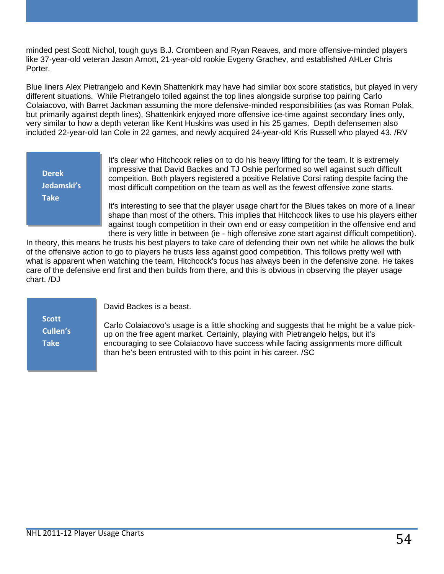minded pest Scott Nichol, tough guys B.J. Crombeen and Ryan Reaves, and more offensive-minded players like 37-year-old veteran Jason Arnott, 21-year-old rookie Evgeny Grachev, and established AHLer Chris Porter.

Blue liners Alex Pietrangelo and Kevin Shattenkirk may have had similar box score statistics, but played in very different situations. While Pietrangelo toiled against the top lines alongside surprise top pairing Carlo Colaiacovo, with Barret Jackman assuming the more defensive-minded responsibilities (as was Roman Polak, but primarily against depth lines), Shattenkirk enjoyed more offensive ice-time against secondary lines only, very similar to how a depth veteran like Kent Huskins was used in his 25 games. Depth defensemen also included 22-year-old Ian Cole in 22 games, and newly acquired 24-year-old Kris Russell who played 43. /RV

It's clear who Hitchcock relies on to do his heavy lifting for the team. It is extremely impressive that David Backes and TJ Oshie performed so well against such difficult compeition. Both players registered a positive Relative Corsi rating despite facing the most difficult competition on the team as well as the fewest offensive zone starts. It's interesting to see that the player usage chart for the Blues takes on more of a linear shape than most of the others. This implies that Hitchcock likes to use his players either against tough competition in their own end or easy competition in the offensive end and **Derek Jedamski's Take**

there is very little in between (ie - high offensive zone start against difficult competition). In theory, this means he trusts his best players to take care of defending their own net while he allows the bulk of the offensive action to go to players he trusts less against good competition. This follows pretty well with what is apparent when watching the team, Hitchcock's focus has always been in the defensive zone. He takes care of the defensive end first and then builds from there, and this is obvious in observing the player usage chart. /DJ

**Scott Cullen's Take**

David Backes is a beast.

Carlo Colaiacovo's usage is a little shocking and suggests that he might be a value pickup on the free agent market. Certainly, playing with Pietrangelo helps, but it's encouraging to see Colaiacovo have success while facing assignments more difficult than he's been entrusted with to this point in his career. /SC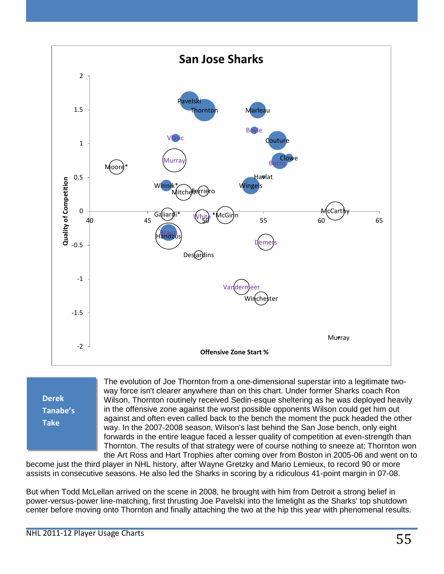

**Derek Tanabe's Take**

The evolution of Joe Thornton from a one-dimensional superstar into a legitimate twoway force isn't clearer anywhere than on this chart. Under former Sharks coach Ron Wilson, Thornton routinely received Sedin-esque sheltering as he was deployed heavily in the offensive zone against the worst possible opponents Wilson could get him out against and often even called back to the bench the moment the puck headed the other way. In the 2007-2008 season, Wilson's last behind the San Jose bench, only eight forwards in the entire league faced a lesser quality of competition at even-strength than Thornton. The results of that strategy were of course nothing to sneeze at; Thornton won the Art Ross and Hart Trophies after coming over from Boston in 2005-06 and went on to

become just the third player in NHL history, after Wayne Gretzky and Mario Lemieux, to record 90 or more assists in consecutive seasons. He also led the Sharks in scoring by a ridiculous 41-point margin in 07-08.

But when Todd McLellan arrived on the scene in 2008, he brought with him from Detroit a strong belief in power-versus-power line-matching, first thrusting Joe Pavelski into the limelight as the Sharks' top shutdown center before moving onto Thornton and finally attaching the two at the hip this year with phenomenal results.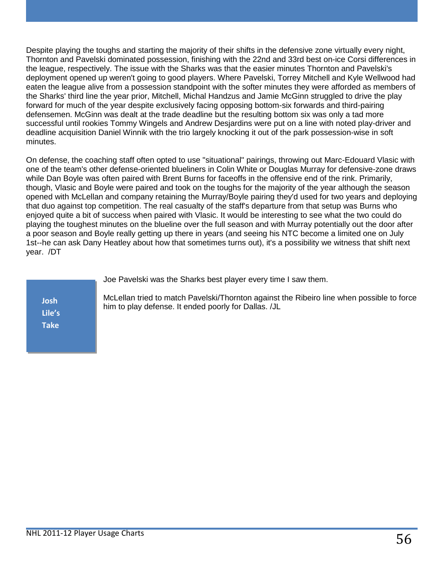Despite playing the toughs and starting the majority of their shifts in the defensive zone virtually every night, Thornton and Pavelski dominated possession, finishing with the 22nd and 33rd best on-ice Corsi differences in the league, respectively. The issue with the Sharks was that the easier minutes Thornton and Pavelski's deployment opened up weren't going to good players. Where Pavelski, Torrey Mitchell and Kyle Wellwood had eaten the league alive from a possession standpoint with the softer minutes they were afforded as members of the Sharks' third line the year prior, Mitchell, Michal Handzus and Jamie McGinn struggled to drive the play forward for much of the year despite exclusively facing opposing bottom-six forwards and third-pairing defensemen. McGinn was dealt at the trade deadline but the resulting bottom six was only a tad more successful until rookies Tommy Wingels and Andrew Desjardins were put on a line with noted play-driver and deadline acquisition Daniel Winnik with the trio largely knocking it out of the park possession-wise in soft minutes.

On defense, the coaching staff often opted to use "situational" pairings, throwing out Marc-Edouard Vlasic with one of the team's other defense-oriented blueliners in Colin White or Douglas Murray for defensive-zone draws while Dan Boyle was often paired with Brent Burns for faceoffs in the offensive end of the rink. Primarily, though, Vlasic and Boyle were paired and took on the toughs for the majority of the year although the season opened with McLellan and company retaining the Murray/Boyle pairing they'd used for two years and deploying that duo against top competition. The real casualty of the staff's departure from that setup was Burns who enjoyed quite a bit of success when paired with Vlasic. It would be interesting to see what the two could do playing the toughest minutes on the blueline over the full season and with Murray potentially out the door after a poor season and Boyle really getting up there in years (and seeing his NTC become a limited one on July 1st--he can ask Dany Heatley about how that sometimes turns out), it's a possibility we witness that shift next year. /DT

Joe Pavelski was the Sharks best player every time I saw them.

McLellan tried to match Pavelski/Thornton against the Ribeiro line when possible to force him to play defense. It ended poorly for Dallas. /JL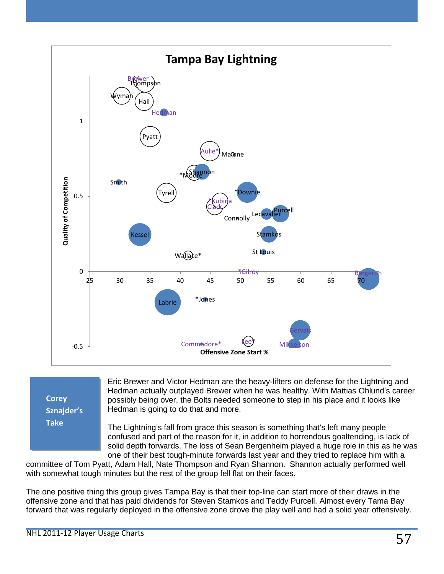

**Corey Sznajder's Take**

Eric Brewer and Victor Hedman are the heavy-lifters on defense for the Lightning and Hedman actually outplayed Brewer when he was healthy. With Mattias Ohlund's career possibly being over, the Bolts needed someone to step in his place and it looks like Hedman is going to do that and more.

The Lightning's fall from grace this season is something that's left many people confused and part of the reason for it, in addition to horrendous goaltending, is lack of solid depth forwards. The loss of Sean Bergenheim played a huge role in this as he was one of their best tough-minute forwards last year and they tried to replace him with a

committee of Tom Pyatt, Adam Hall, Nate Thompson and Ryan Shannon. Shannon actually performed well with somewhat tough minutes but the rest of the group fell flat on their faces.

The one positive thing this group gives Tampa Bay is that their top-line can start more of their draws in the offensive zone and that has paid dividends for Steven Stamkos and Teddy Purcell. Almost every Tama Bay forward that was regularly deployed in the offensive zone drove the play well and had a solid year offensively.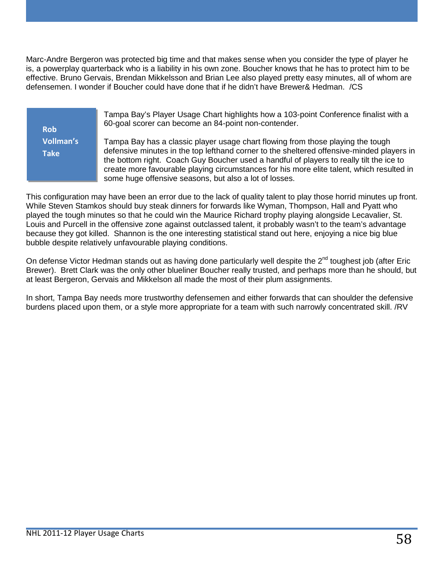Marc-Andre Bergeron was protected big time and that makes sense when you consider the type of player he is, a powerplay quarterback who is a liability in his own zone. Boucher knows that he has to protect him to be effective. Bruno Gervais, Brendan Mikkelsson and Brian Lee also played pretty easy minutes, all of whom are defensemen. I wonder if Boucher could have done that if he didn't have Brewer& Hedman. /CS

**Rob Vollman's Take**

Tampa Bay's Player Usage Chart highlights how a 103-point Conference finalist with a 60-goal scorer can become an 84-point non-contender.

Tampa Bay has a classic player usage chart flowing from those playing the tough defensive minutes in the top lefthand corner to the sheltered offensive-minded players in the bottom right. Coach Guy Boucher used a handful of players to really tilt the ice to create more favourable playing circumstances for his more elite talent, which resulted in some huge offensive seasons, but also a lot of losses.

This configuration may have been an error due to the lack of quality talent to play those horrid minutes up front. While Steven Stamkos should buy steak dinners for forwards like Wyman, Thompson, Hall and Pyatt who played the tough minutes so that he could win the Maurice Richard trophy playing alongside Lecavalier, St. Louis and Purcell in the offensive zone against outclassed talent, it probably wasn't to the team's advantage because they got killed. Shannon is the one interesting statistical stand out here, enjoying a nice big blue bubble despite relatively unfavourable playing conditions.

On defense Victor Hedman stands out as having done particularly well despite the 2<sup>nd</sup> toughest job (after Eric Brewer). Brett Clark was the only other blueliner Boucher really trusted, and perhaps more than he should, but at least Bergeron, Gervais and Mikkelson all made the most of their plum assignments.

In short, Tampa Bay needs more trustworthy defensemen and either forwards that can shoulder the defensive burdens placed upon them, or a style more appropriate for a team with such narrowly concentrated skill. /RV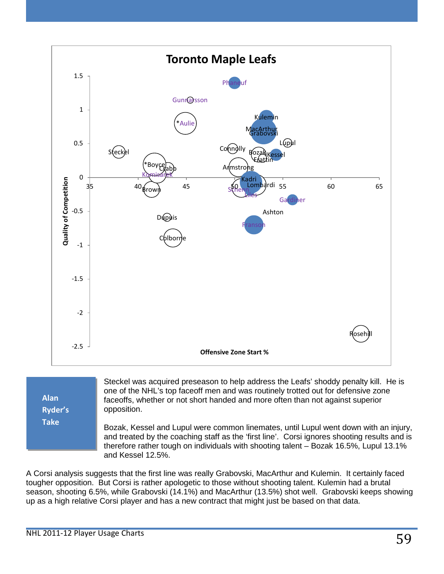

**Ryder's Take**

Bozak, Kessel and Lupul were common linemates, until Lupul went down with an injury,

and treated by the coaching staff as the 'first line'. Corsi ignores shooting results and is therefore rather tough on individuals with shooting talent – Bozak 16.5%, Lupul 13.1% and Kessel 12.5%.

A Corsi analysis suggests that the first line was really Grabovski, MacArthur and Kulemin. It certainly faced tougher opposition. But Corsi is rather apologetic to those without shooting talent. Kulemin had a brutal season, shooting 6.5%, while Grabovski (14.1%) and MacArthur (13.5%) shot well. Grabovski keeps showing up as a high relative Corsi player and has a new contract that might just be based on that data.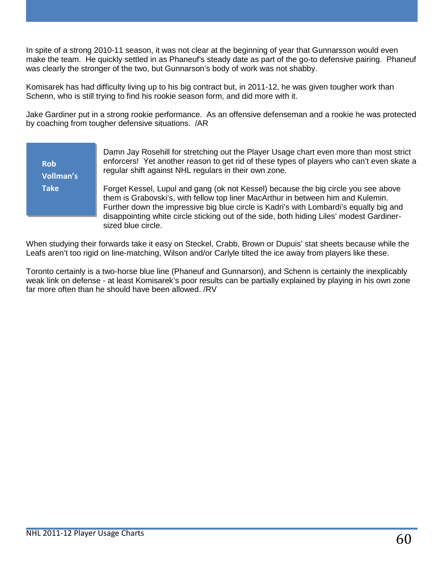In spite of a strong 2010-11 season, it was not clear at the beginning of year that Gunnarsson would even make the team. He quickly settled in as Phaneuf's steady date as part of the go-to defensive pairing. Phaneuf was clearly the stronger of the two, but Gunnarson's body of work was not shabby.

Komisarek has had difficulty living up to his big contract but, in 2011-12, he was given tougher work than Schenn, who is still trying to find his rookie season form, and did more with it.

Jake Gardiner put in a strong rookie performance. As an offensive defenseman and a rookie he was protected by coaching from tougher defensive situations. /AR

> Damn Jay Rosehill for stretching out the Player Usage chart even more than most strict enforcers! Yet another reason to get rid of these types of players who can't even skate a regular shift against NHL regulars in their own zone.

Forget Kessel, Lupul and gang (ok not Kessel) because the big circle you see above them is Grabovski's, with fellow top liner MacArthur in between him and Kulemin. Further down the impressive big blue circle is Kadri's with Lombardi's equally big and disappointing white circle sticking out of the side, both hiding Liles' modest Gardinersized blue circle.

When studying their forwards take it easy on Steckel, Crabb, Brown or Dupuis' stat sheets because while the Leafs aren't too rigid on line-matching, Wilson and/or Carlyle tilted the ice away from players like these.

Toronto certainly is a two-horse blue line (Phaneuf and Gunnarson), and Schenn is certainly the inexplicably weak link on defense - at least Komisarek's poor results can be partially explained by playing in his own zone far more often than he should have been allowed. /RV

**Rob** 

**Take**

**Vollman's**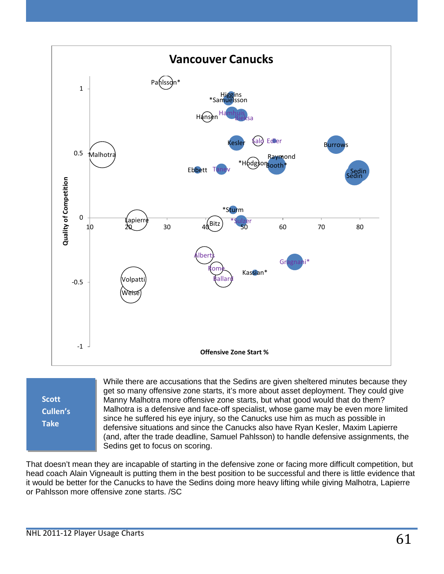

**Scott Cullen's Take**

While there are accusations that the Sedins are given sheltered minutes because they get so many offensive zone starts, it's more about asset deployment. They could give Manny Malhotra more offensive zone starts, but what good would that do them? Malhotra is a defensive and face-off specialist, whose game may be even more limited since he suffered his eye injury, so the Canucks use him as much as possible in defensive situations and since the Canucks also have Ryan Kesler, Maxim Lapierre (and, after the trade deadline, Samuel Pahlsson) to handle defensive assignments, the Sedins get to focus on scoring.

That doesn't mean they are incapable of starting in the defensive zone or facing more difficult competition, but head coach Alain Vigneault is putting them in the best position to be successful and there is little evidence that it would be better for the Canucks to have the Sedins doing more heavy lifting while giving Malhotra, Lapierre or Pahlsson more offensive zone starts. /SC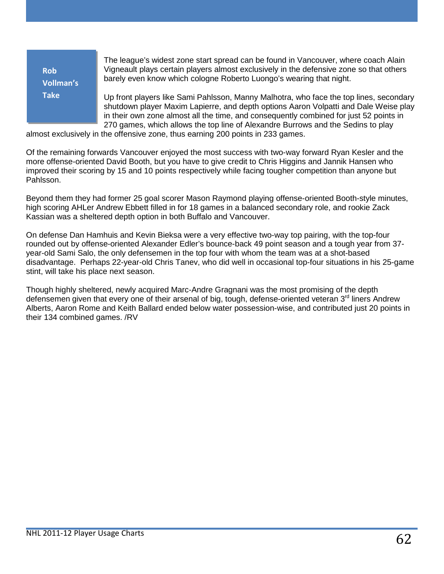**Rob Vollman's Take**

The league's widest zone start spread can be found in Vancouver, where coach Alain Vigneault plays certain players almost exclusively in the defensive zone so that others barely even know which cologne Roberto Luongo's wearing that night.

Up front players like Sami Pahlsson, Manny Malhotra, who face the top lines, secondary shutdown player Maxim Lapierre, and depth options Aaron Volpatti and Dale Weise play in their own zone almost all the time, and consequently combined for just 52 points in 270 games, which allows the top line of Alexandre Burrows and the Sedins to play

almost exclusively in the offensive zone, thus earning 200 points in 233 games.

Of the remaining forwards Vancouver enjoyed the most success with two-way forward Ryan Kesler and the more offense-oriented David Booth, but you have to give credit to Chris Higgins and Jannik Hansen who improved their scoring by 15 and 10 points respectively while facing tougher competition than anyone but Pahlsson.

Beyond them they had former 25 goal scorer Mason Raymond playing offense-oriented Booth-style minutes, high scoring AHLer Andrew Ebbett filled in for 18 games in a balanced secondary role, and rookie Zack Kassian was a sheltered depth option in both Buffalo and Vancouver.

On defense Dan Hamhuis and Kevin Bieksa were a very effective two-way top pairing, with the top-four rounded out by offense-oriented Alexander Edler's bounce-back 49 point season and a tough year from 37 year-old Sami Salo, the only defensemen in the top four with whom the team was at a shot-based disadvantage. Perhaps 22-year-old Chris Tanev, who did well in occasional top-four situations in his 25-game stint, will take his place next season.

Though highly sheltered, newly acquired Marc-Andre Gragnani was the most promising of the depth defensemen given that every one of their arsenal of big, tough, defense-oriented veteran 3<sup>rd</sup> liners Andrew Alberts, Aaron Rome and Keith Ballard ended below water possession-wise, and contributed just 20 points in their 134 combined games. /RV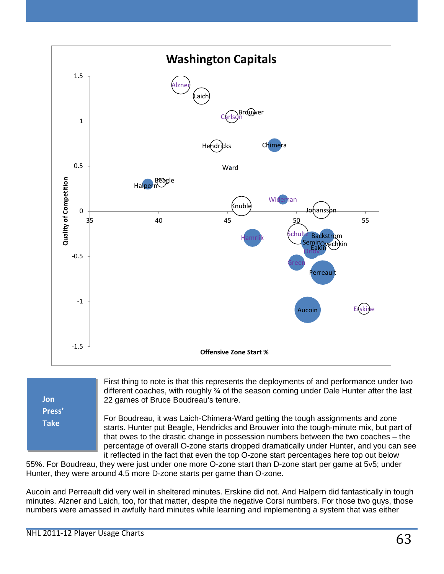

| Jon    |  |
|--------|--|
| Press' |  |
| Take   |  |
|        |  |
|        |  |

First thing to note is that this represents the deployments of and performance under two different coaches, with roughly ¾ of the season coming under Dale Hunter after the last 22 games of Bruce Boudreau's tenure.

For Boudreau, it was Laich-Chimera-Ward getting the tough assignments and zone starts. Hunter put Beagle, Hendricks and Brouwer into the tough-minute mix, but part of that owes to the drastic change in possession numbers between the two coaches – the percentage of overall O-zone starts dropped dramatically under Hunter, and you can see it reflected in the fact that even the top O-zone start percentages here top out below

55%. For Boudreau, they were just under one more O-zone start than D-zone start per game at 5v5; under Hunter, they were around 4.5 more D-zone starts per game than O-zone.

Aucoin and Perreault did very well in sheltered minutes. Erskine did not. And Halpern did fantastically in tough minutes. Alzner and Laich, too, for that matter, despite the negative Corsi numbers. For those two guys, those numbers were amassed in awfully hard minutes while learning and implementing a system that was either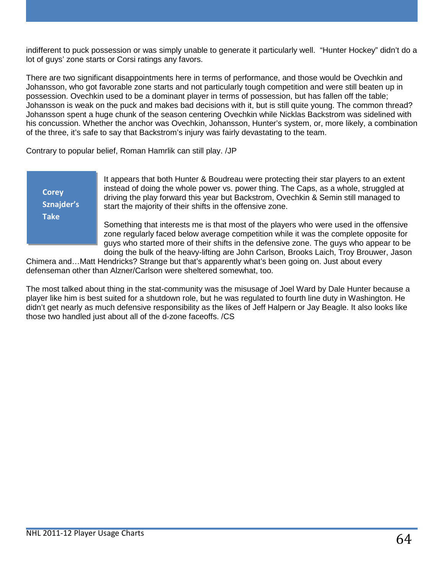indifferent to puck possession or was simply unable to generate it particularly well. "Hunter Hockey" didn't do a lot of guys' zone starts or Corsi ratings any favors.

There are two significant disappointments here in terms of performance, and those would be Ovechkin and Johansson, who got favorable zone starts and not particularly tough competition and were still beaten up in possession. Ovechkin used to be a dominant player in terms of possession, but has fallen off the table; Johansson is weak on the puck and makes bad decisions with it, but is still quite young. The common thread? Johansson spent a huge chunk of the season centering Ovechkin while Nicklas Backstrom was sidelined with his concussion. Whether the anchor was Ovechkin, Johansson, Hunter's system, or, more likely, a combination of the three, it's safe to say that Backstrom's injury was fairly devastating to the team.

Contrary to popular belief, Roman Hamrlik can still play. /JP

**Corey Sznajder's Take**

It appears that both Hunter & Boudreau were protecting their star players to an extent instead of doing the whole power vs. power thing. The Caps, as a whole, struggled at driving the play forward this year but Backstrom, Ovechkin & Semin still managed to start the majority of their shifts in the offensive zone.

Something that interests me is that most of the players who were used in the offensive zone regularly faced below average competition while it was the complete opposite for guys who started more of their shifts in the defensive zone. The guys who appear to be doing the bulk of the heavy-lifting are John Carlson, Brooks Laich, Troy Brouwer, Jason

Chimera and…Matt Hendricks? Strange but that's apparently what's been going on. Just about every defenseman other than Alzner/Carlson were sheltered somewhat, too.

The most talked about thing in the stat-community was the misusage of Joel Ward by Dale Hunter because a player like him is best suited for a shutdown role, but he was regulated to fourth line duty in Washington. He didn't get nearly as much defensive responsibility as the likes of Jeff Halpern or Jay Beagle. It also looks like those two handled just about all of the d-zone faceoffs. /CS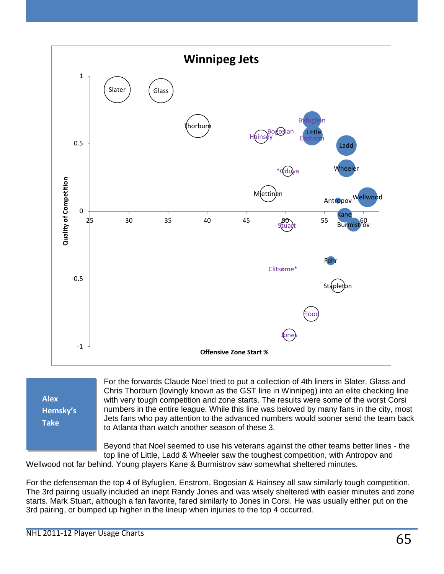

**Alex Hemsky's Take**

For the forwards Claude Noel tried to put a collection of 4th liners in Slater, Glass and Chris Thorburn (lovingly known as the GST line in Winnipeg) into an elite checking line with very tough competition and zone starts. The results were some of the worst Corsi numbers in the entire league. While this line was beloved by many fans in the city, most Jets fans who pay attention to the advanced numbers would sooner send the team back to Atlanta than watch another season of these 3.

Beyond that Noel seemed to use his veterans against the other teams better lines - the top line of Little, Ladd & Wheeler saw the toughest competition, with Antropov and

Wellwood not far behind. Young players Kane & Burmistrov saw somewhat sheltered minutes.

For the defenseman the top 4 of Byfuglien, Enstrom, Bogosian & Hainsey all saw similarly tough competition. The 3rd pairing usually included an inept Randy Jones and was wisely sheltered with easier minutes and zone starts. Mark Stuart, although a fan favorite, fared similarly to Jones in Corsi. He was usually either put on the 3rd pairing, or bumped up higher in the lineup when injuries to the top 4 occurred.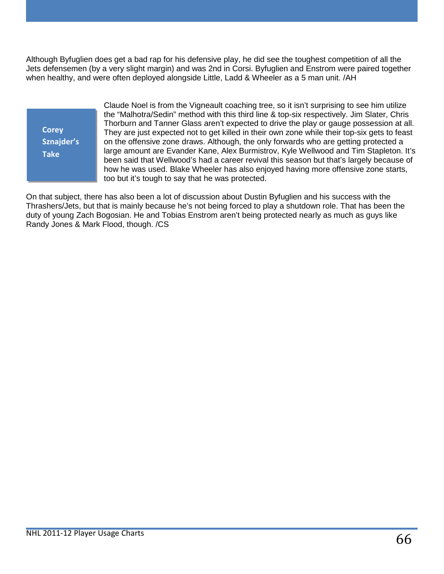Although Byfuglien does get a bad rap for his defensive play, he did see the toughest competition of all the Jets defensemen (by a very slight margin) and was 2nd in Corsi. Byfuglien and Enstrom were paired together when healthy, and were often deployed alongside Little, Ladd & Wheeler as a 5 man unit. /AH

**Corey Sznajder's Take**

Claude Noel is from the Vigneault coaching tree, so it isn't surprising to see him utilize the "Malhotra/Sedin" method with this third line & top-six respectively. Jim Slater, Chris Thorburn and Tanner Glass aren't expected to drive the play or gauge possession at all. They are just expected not to get killed in their own zone while their top-six gets to feast on the offensive zone draws. Although, the only forwards who are getting protected a large amount are Evander Kane, Alex Burmistrov, Kyle Wellwood and Tim Stapleton. It's been said that Wellwood's had a career revival this season but that's largely because of how he was used. Blake Wheeler has also enjoyed having more offensive zone starts, too but it's tough to say that he was protected.

On that subject, there has also been a lot of discussion about Dustin Byfuglien and his success with the Thrashers/Jets, but that is mainly because he's not being forced to play a shutdown role. That has been the duty of young Zach Bogosian. He and Tobias Enstrom aren't being protected nearly as much as guys like Randy Jones & Mark Flood, though. /CS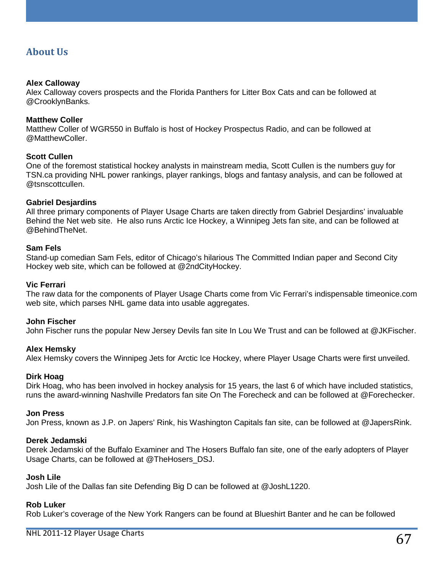### **About Us**

#### **Alex Calloway**

Alex Calloway covers prospects and the Florida Panthers for Litter Box Cats and can be followed at @CrooklynBanks.

#### **Matthew Coller**

Matthew Coller of WGR550 in Buffalo is host of Hockey Prospectus Radio, and can be followed at @MatthewColler.

#### **Scott Cullen**

One of the foremost statistical hockey analysts in mainstream media, Scott Cullen is the numbers guy for TSN.ca providing NHL power rankings, player rankings, blogs and fantasy analysis, and can be followed at @tsnscottcullen.

#### **Gabriel Desjardins**

All three primary components of Player Usage Charts are taken directly from Gabriel Desjardins' invaluable Behind the Net web site. He also runs Arctic Ice Hockey, a Winnipeg Jets fan site, and can be followed at @BehindTheNet.

#### **Sam Fels**

Stand-up comedian Sam Fels, editor of Chicago's hilarious The Committed Indian paper and Second City Hockey web site, which can be followed at @2ndCityHockey.

#### **Vic Ferrari**

The raw data for the components of Player Usage Charts come from Vic Ferrari's indispensable timeonice.com web site, which parses NHL game data into usable aggregates.

#### **John Fischer**

John Fischer runs the popular New Jersey Devils fan site In Lou We Trust and can be followed at @JKFischer.

#### **Alex Hemsky**

Alex Hemsky covers the Winnipeg Jets for Arctic Ice Hockey, where Player Usage Charts were first unveiled.

#### **Dirk Hoag**

Dirk Hoag, who has been involved in hockey analysis for 15 years, the last 6 of which have included statistics, runs the award-winning Nashville Predators fan site On The Forecheck and can be followed at @Forechecker.

#### **Jon Press**

Jon Press, known as J.P. on Japers' Rink, his Washington Capitals fan site, can be followed at @JapersRink.

#### **Derek Jedamski**

Derek Jedamski of the Buffalo Examiner and The Hosers Buffalo fan site, one of the early adopters of Player Usage Charts, can be followed at @TheHosers\_DSJ.

#### **Josh Lile**

Josh Lile of the Dallas fan site Defending Big D can be followed at @JoshL1220.

#### **Rob Luker**

Rob Luker's coverage of the New York Rangers can be found at Blueshirt Banter and he can be followed